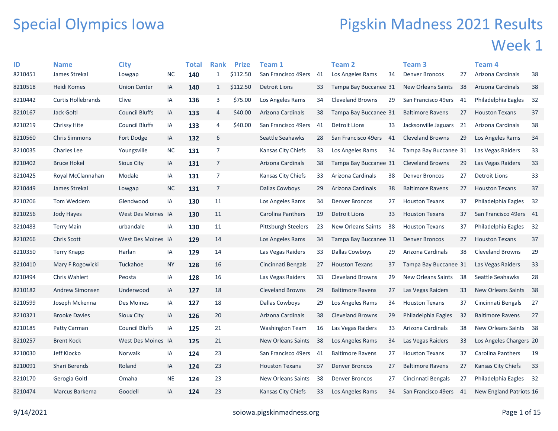## Special Olympics Iowa

## Pigskin Madness 2021 Results Week 1

| ID      | <b>Name</b>               | <b>City</b>           |           | <b>Total</b> | <b>Rank</b>    | <b>Prize</b> | Team 1                     |    | <b>Team 2</b>             |     | Team <sub>3</sub>       |     | Team 4                  |      |
|---------|---------------------------|-----------------------|-----------|--------------|----------------|--------------|----------------------------|----|---------------------------|-----|-------------------------|-----|-------------------------|------|
| 8210451 | James Strekal             | Lowgap                | <b>NC</b> | 140          | $\mathbf{1}$   | \$112.50     | San Francisco 49ers        | 41 | Los Angeles Rams          | 34  | <b>Denver Broncos</b>   | 27  | Arizona Cardinals       | 38   |
| 8210518 | Heidi Komes               | <b>Union Center</b>   | IA        | 140          | $\mathbf{1}$   | \$112.50     | <b>Detroit Lions</b>       | 33 | Tampa Bay Buccanee 31     |     | New Orleans Saints      | 38  | Arizona Cardinals       | 38   |
| 8210442 | <b>Curtis Hollebrands</b> | Clive                 | IA        | 136          | 3              | \$75.00      | Los Angeles Rams           | 34 | <b>Cleveland Browns</b>   | 29  | San Francisco 49ers     | -41 | Philadelphia Eagles     | 32   |
| 8210167 | <b>Jack Goltl</b>         | <b>Council Bluffs</b> | IA        | 133          | 4              | \$40.00      | Arizona Cardinals          | 38 | Tampa Bay Buccanee 31     |     | <b>Baltimore Ravens</b> | 27  | <b>Houston Texans</b>   | 37   |
| 8210219 | Chrissy Hite              | <b>Council Bluffs</b> | IA        | 133          | 4              | \$40.00      | San Francisco 49ers        | 41 | Detroit Lions             | 33  | Jacksonville Jaguars    | 21  | Arizona Cardinals       | 38   |
| 8210560 | <b>Chris Simmons</b>      | Fort Dodge            | IA        | 132          | 6              |              | Seattle Seahawks           | 28 | San Francisco 49ers       | 41  | <b>Cleveland Browns</b> | 29  | Los Angeles Rams        | 34   |
| 8210035 | <b>Charles Lee</b>        | Youngsville           | <b>NC</b> | 131          | $\overline{7}$ |              | Kansas City Chiefs         | 33 | Los Angeles Rams          | 34  | Tampa Bay Buccanee 31   |     | Las Vegas Raiders       | 33   |
| 8210402 | <b>Bruce Hokel</b>        | <b>Sioux City</b>     | IA        | 131          | $\overline{7}$ |              | Arizona Cardinals          | 38 | Tampa Bay Buccanee 31     |     | <b>Cleveland Browns</b> | 29  | Las Vegas Raiders       | 33   |
| 8210425 | Royal McClannahan         | Modale                | IA        | 131          | $\overline{7}$ |              | Kansas City Chiefs         | 33 | Arizona Cardinals         | 38  | <b>Denver Broncos</b>   | 27  | <b>Detroit Lions</b>    | 33   |
| 8210449 | James Strekal             | Lowgap                | <b>NC</b> | 131          | $\overline{7}$ |              | Dallas Cowboys             | 29 | Arizona Cardinals         | 38  | <b>Baltimore Ravens</b> | 27  | <b>Houston Texans</b>   | 37   |
| 8210206 | Tom Weddem                | Glendwood             | IA        | 130          | 11             |              | Los Angeles Rams           | 34 | <b>Denver Broncos</b>     | 27  | <b>Houston Texans</b>   | 37  | Philadelphia Eagles     | 32   |
| 8210256 | Jody Hayes                | West Des Moines IA    |           | 130          | 11             |              | Carolina Panthers          | 19 | Detroit Lions             | 33  | <b>Houston Texans</b>   | 37  | San Francisco 49ers 41  |      |
| 8210483 | <b>Terry Main</b>         | urbandale             | IA        | 130          | 11             |              | <b>Pittsburgh Steelers</b> | 23 | <b>New Orleans Saints</b> | -38 | <b>Houston Texans</b>   | 37  | Philadelphia Eagles     | 32   |
| 8210266 | <b>Chris Scott</b>        | West Des Moines IA    |           | 129          | 14             |              | Los Angeles Rams           | 34 | Tampa Bay Buccanee 31     |     | <b>Denver Broncos</b>   | 27  | <b>Houston Texans</b>   | 37   |
| 8210350 | <b>Terry Knapp</b>        | Harlan                | IA        | 129          | 14             |              | Las Vegas Raiders          | 33 | Dallas Cowboys            | 29  | Arizona Cardinals       | 38  | <b>Cleveland Browns</b> | 29   |
| 8210410 | Mary F Rogowicki          | Tuckahoe              | <b>NY</b> | 128          | 16             |              | Cincinnati Bengals         | 27 | <b>Houston Texans</b>     | 37  | Tampa Bay Buccanee 31   |     | Las Vegas Raiders       | 33   |
| 8210494 | Chris Wahlert             | Peosta                | IA        | 128          | 16             |              | Las Vegas Raiders          | 33 | <b>Cleveland Browns</b>   | 29  | New Orleans Saints      | 38  | Seattle Seahawks        | 28   |
| 8210182 | <b>Andrew Simonsen</b>    | Underwood             | IA        | 127          | 18             |              | <b>Cleveland Browns</b>    | 29 | <b>Baltimore Ravens</b>   | 27  | Las Vegas Raiders       | 33  | New Orleans Saints      | 38   |
| 8210599 | Joseph Mckenna            | Des Moines            | IA        | 127          | 18             |              | <b>Dallas Cowboys</b>      | 29 | Los Angeles Rams          | 34  | <b>Houston Texans</b>   | 37  | Cincinnati Bengals      | 27   |
| 8210321 | <b>Brooke Davies</b>      | Sioux City            | IA        | 126          | 20             |              | Arizona Cardinals          | 38 | <b>Cleveland Browns</b>   | 29  | Philadelphia Eagles     | 32  | <b>Baltimore Ravens</b> | 27   |
| 8210185 | Patty Carman              | <b>Council Bluffs</b> | IA        | 125          | 21             |              | Washington Team            | 16 | Las Vegas Raiders         | 33  | Arizona Cardinals       | 38  | New Orleans Saints 38   |      |
| 8210257 | <b>Brent Kock</b>         | West Des Moines IA    |           | 125          | 21             |              | <b>New Orleans Saints</b>  | 38 | Los Angeles Rams          | 34  | Las Vegas Raiders       | 33  | Los Angeles Chargers 20 |      |
| 8210030 | Jeff Klocko               | Norwalk               | IA        | 124          | 23             |              | San Francisco 49ers        | 41 | <b>Baltimore Ravens</b>   | 27  | <b>Houston Texans</b>   | 37  | Carolina Panthers       | 19   |
| 8210091 | Shari Berends             | Roland                | IA        | 124          | 23             |              | <b>Houston Texans</b>      | 37 | <b>Denver Broncos</b>     | 27  | <b>Baltimore Ravens</b> | 27  | Kansas City Chiefs      | 33   |
| 8210170 | Gerogia Goltl             | Omaha                 | $\sf NE$  | 124          | 23             |              | <b>New Orleans Saints</b>  | 38 | <b>Denver Broncos</b>     | 27  | Cincinnati Bengals      | 27  | Philadelphia Eagles     | - 32 |
| 8210474 | Marcus Barkema            | Goodell               | IA        | 124          | 23             |              | Kansas City Chiefs         | 33 | Los Angeles Rams          | 34  | San Francisco 49ers     | 41  | New England Patriots 16 |      |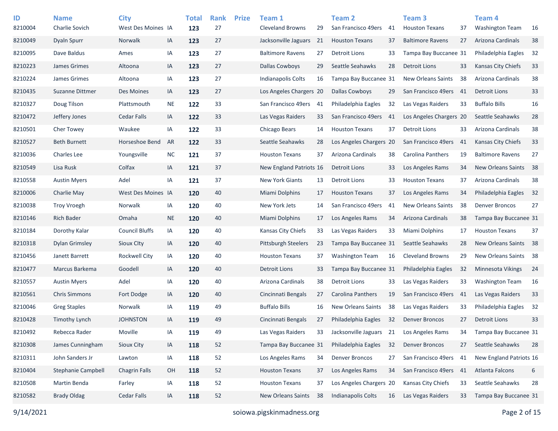| ID                 | <b>Name</b><br>Charlie Sovich | <b>City</b><br>West Des Moines IA |           | <b>Total</b> | <b>Rank</b><br>27 | <b>Prize</b> | Team 1<br><b>Cleveland Browns</b> | 29  | <b>Team 2</b><br>San Francisco 49ers | 41 | Team <sub>3</sub><br><b>Houston Texans</b> | 37  | Team 4<br><b>Washington Team</b> |          |
|--------------------|-------------------------------|-----------------------------------|-----------|--------------|-------------------|--------------|-----------------------------------|-----|--------------------------------------|----|--------------------------------------------|-----|----------------------------------|----------|
| 8210004<br>8210049 | Dyaln Spurr                   | Norwalk                           | IA        | 123          | 27                |              | Jacksonville Jaguars              | 21  | <b>Houston Texans</b>                | 37 | <b>Baltimore Ravens</b>                    | 27  | Arizona Cardinals                | 16<br>38 |
|                    |                               |                                   |           | 123          |                   |              |                                   |     |                                      |    |                                            |     |                                  |          |
| 8210095            | Dave Baldus                   | Ames                              | IA        | 123          | 27                |              | <b>Baltimore Ravens</b>           | 27  | Detroit Lions                        | 33 | Tampa Bay Buccanee 31                      |     | Philadelphia Eagles              | 32       |
| 8210223            | James Grimes                  | Altoona                           | IA        | 123          | 27                |              | <b>Dallas Cowboys</b>             | 29  | Seattle Seahawks                     | 28 | <b>Detroit Lions</b>                       | 33  | <b>Kansas City Chiefs</b>        | 33       |
| 8210224            | James Grimes                  | Altoona                           | IA        | 123          | 27                |              | <b>Indianapolis Colts</b>         | 16  | Tampa Bay Buccanee 31                |    | <b>New Orleans Saints</b>                  | 38  | Arizona Cardinals                | 38       |
| 8210435            | <b>Suzanne Dittmer</b>        | Des Moines                        | IA        | 123          | 27                |              | Los Angeles Chargers 20           |     | <b>Dallas Cowboys</b>                | 29 | San Francisco 49ers                        | 41  | <b>Detroit Lions</b>             | 33       |
| 8210327            | Doug Tilson                   | Plattsmouth                       | <b>NE</b> | 122          | 33                |              | San Francisco 49ers               | -41 | Philadelphia Eagles                  | 32 | Las Vegas Raiders                          | 33  | <b>Buffalo Bills</b>             | 16       |
| 8210472            | Jeffery Jones                 | Cedar Falls                       | IA        | 122          | 33                |              | Las Vegas Raiders                 | 33  | San Francisco 49ers                  | 41 | Los Angeles Chargers 20                    |     | Seattle Seahawks                 | 28       |
| 8210501            | Cher Towey                    | Waukee                            | IA        | 122          | 33                |              | Chicago Bears                     | 14  | <b>Houston Texans</b>                | 37 | <b>Detroit Lions</b>                       | 33  | Arizona Cardinals                | 38       |
| 8210527            | <b>Beth Burnett</b>           | Horseshoe Bend                    | AR        | 122          | 33                |              | Seattle Seahawks                  | 28  | Los Angeles Chargers 20              |    | San Francisco 49ers                        | -41 | <b>Kansas City Chiefs</b>        | 33       |
| 8210036            | Charles Lee                   | Youngsville                       | <b>NC</b> | 121          | 37                |              | <b>Houston Texans</b>             | 37  | Arizona Cardinals                    | 38 | Carolina Panthers                          | 19  | <b>Baltimore Ravens</b>          | 27       |
| 8210549            | Lisa Rusk                     | Colfax                            | IA        | 121          | 37                |              | New England Patriots 16           |     | Detroit Lions                        | 33 | Los Angeles Rams                           | 34  | New Orleans Saints               | 38       |
| 8210558            | <b>Austin Myers</b>           | Adel                              | IA        | 121          | 37                |              | <b>New York Giants</b>            | 13  | Detroit Lions                        | 33 | <b>Houston Texans</b>                      | 37  | Arizona Cardinals                | 38       |
| 8210006            | Charlie May                   | West Des Moines IA                |           | 120          | 40                |              | Miami Dolphins                    | 17  | <b>Houston Texans</b>                | 37 | Los Angeles Rams                           | 34  | Philadelphia Eagles              | 32       |
| 8210038            | <b>Troy Vroegh</b>            | <b>Norwalk</b>                    | IA        | 120          | 40                |              | New York Jets                     | 14  | San Francisco 49ers                  | 41 | <b>New Orleans Saints</b>                  | 38  | <b>Denver Broncos</b>            | 27       |
| 8210146            | <b>Rich Bader</b>             | Omaha                             | <b>NE</b> | 120          | 40                |              | Miami Dolphins                    | 17  | Los Angeles Rams                     | 34 | Arizona Cardinals                          | 38  | Tampa Bay Buccanee 31            |          |
| 8210184            | Dorothy Kalar                 | <b>Council Bluffs</b>             | IA        | 120          | 40                |              | Kansas City Chiefs                | 33  | Las Vegas Raiders                    | 33 | Miami Dolphins                             | 17  | <b>Houston Texans</b>            | 37       |
| 8210318            | Dylan Grimsley                | Sioux City                        | IA        | 120          | 40                |              | <b>Pittsburgh Steelers</b>        | 23  | Tampa Bay Buccanee 31                |    | Seattle Seahawks                           | 28  | New Orleans Saints               | 38       |
| 8210456            | Janett Barrett                | <b>Rockwell City</b>              | IA        | 120          | 40                |              | <b>Houston Texans</b>             | 37  | <b>Washington Team</b>               | 16 | <b>Cleveland Browns</b>                    | 29  | New Orleans Saints               | 38       |
| 8210477            | Marcus Barkema                | Goodell                           | IA        | 120          | 40                |              | <b>Detroit Lions</b>              | 33  | Tampa Bay Buccanee 31                |    | Philadelphia Eagles                        | 32  | <b>Minnesota Vikings</b>         | 24       |
| 8210557            | <b>Austin Myers</b>           | Adel                              | IA        | 120          | 40                |              | Arizona Cardinals                 | 38  | Detroit Lions                        | 33 | Las Vegas Raiders                          | 33  | <b>Washington Team</b>           | 16       |
| 8210561            | <b>Chris Simmons</b>          | Fort Dodge                        | IA        | 120          | 40                |              | Cincinnati Bengals                | 27  | Carolina Panthers                    | 19 | San Francisco 49ers                        | 41  | Las Vegas Raiders                | 33       |
| 8210046            | <b>Greg Staples</b>           | Norwalk                           | IA        | 119          | 49                |              | <b>Buffalo Bills</b>              | 16  | <b>New Orleans Saints</b>            | 38 | Las Vegas Raiders                          | 33  | Philadelphia Eagles              | 32       |
| 8210428            | Timothy Lynch                 | <b>JOHNSTON</b>                   | IA        | 119          | 49                |              | Cincinnati Bengals                | 27  | Philadelphia Eagles                  | 32 | <b>Denver Broncos</b>                      | 27  | <b>Detroit Lions</b>             | 33       |
| 8210492            | Rebecca Rader                 | Moville                           | IA        | 119          | 49                |              | Las Vegas Raiders                 | 33  | Jacksonville Jaguars                 | 21 | Los Angeles Rams                           | 34  | Tampa Bay Buccanee 31            |          |
| 8210308            | James Cunningham              | Sioux City                        | IA        | 118          | 52                |              | Tampa Bay Buccanee 31             |     | Philadelphia Eagles                  | 32 | <b>Denver Broncos</b>                      | 27  | Seattle Seahawks                 | 28       |
| 8210311            | John Sanders Jr               | Lawton                            | IA        | 118          | 52                |              | Los Angeles Rams                  | 34  | <b>Denver Broncos</b>                | 27 | San Francisco 49ers 41                     |     | New England Patriots 16          |          |
| 8210404            | <b>Stephanie Campbell</b>     | <b>Chagrin Falls</b>              | OH        | 118          | 52                |              | <b>Houston Texans</b>             | 37  | Los Angeles Rams                     | 34 | San Francisco 49ers                        | 41  | Atlanta Falcons                  | 6        |
| 8210508            | Martin Benda                  | Farley                            | IA        | 118          | 52                |              | <b>Houston Texans</b>             | 37  | Los Angeles Chargers 20              |    | Kansas City Chiefs                         | 33  | Seattle Seahawks                 | 28       |
| 8210582            | <b>Brady Oldag</b>            | Cedar Falls                       | IA        | 118          | 52                |              | New Orleans Saints                | 38  | Indianapolis Colts                   | 16 | Las Vegas Raiders                          | 33  | Tampa Bay Buccanee 31            |          |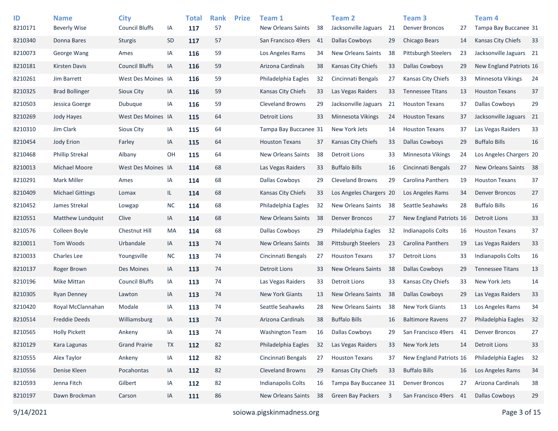| ID<br>8210171 | <b>Name</b><br><b>Beverly Wise</b> | <b>City</b><br><b>Council Bluffs</b> |                 | <b>Total</b> | <b>Rank</b><br>57 | <b>Prize</b> | Team 1<br><b>New Orleans Saints</b> | 38 | Team 2<br>Jacksonville Jaguars | 21 | Team <sub>3</sub><br><b>Denver Broncos</b> | 27 | <b>Team 4</b><br>Tampa Bay Buccanee 31 |    |
|---------------|------------------------------------|--------------------------------------|-----------------|--------------|-------------------|--------------|-------------------------------------|----|--------------------------------|----|--------------------------------------------|----|----------------------------------------|----|
| 8210340       | Donna Bares                        | <b>Sturgis</b>                       | IA<br><b>SD</b> | 117<br>117   | 57                |              | San Francisco 49ers                 | 41 | <b>Dallas Cowboys</b>          | 29 | Chicago Bears                              | 14 | <b>Kansas City Chiefs</b>              | 33 |
| 8210073       | George Wang                        |                                      |                 |              | 59                |              |                                     |    | <b>New Orleans Saints</b>      |    | <b>Pittsburgh Steelers</b>                 | 23 | Jacksonville Jaguars 21                |    |
|               |                                    | Ames                                 | IA              | 116          |                   |              | Los Angeles Rams                    | 34 |                                | 38 |                                            |    |                                        |    |
| 8210181       | <b>Kirsten Davis</b>               | <b>Council Bluffs</b>                | IA              | 116          | 59                |              | Arizona Cardinals                   | 38 | <b>Kansas City Chiefs</b>      | 33 | <b>Dallas Cowboys</b>                      | 29 | New England Patriots 16                |    |
| 8210261       | Jim Barrett                        | West Des Moines IA                   |                 | 116          | 59                |              | Philadelphia Eagles                 | 32 | Cincinnati Bengals             | 27 | Kansas City Chiefs                         | 33 | <b>Minnesota Vikings</b>               | 24 |
| 8210325       | <b>Brad Bollinger</b>              | Sioux City                           | IA              | 116          | 59                |              | Kansas City Chiefs                  | 33 | Las Vegas Raiders              | 33 | <b>Tennessee Titans</b>                    | 13 | <b>Houston Texans</b>                  | 37 |
| 8210503       | Jessica Goerge                     | Dubuque                              | IA              | 116          | 59                |              | <b>Cleveland Browns</b>             | 29 | Jacksonville Jaguars           | 21 | <b>Houston Texans</b>                      | 37 | <b>Dallas Cowboys</b>                  | 29 |
| 8210269       | Jody Hayes                         | West Des Moines IA                   |                 | 115          | 64                |              | <b>Detroit Lions</b>                | 33 | Minnesota Vikings              | 24 | <b>Houston Texans</b>                      | 37 | Jacksonville Jaguars 21                |    |
| 8210310       | Jim Clark                          | Sioux City                           | IA              | 115          | 64                |              | Tampa Bay Buccanee 31               |    | New York Jets                  | 14 | <b>Houston Texans</b>                      | 37 | Las Vegas Raiders                      | 33 |
| 8210454       | Jody Erion                         | Farley                               | IA              | 115          | 64                |              | <b>Houston Texans</b>               | 37 | <b>Kansas City Chiefs</b>      | 33 | <b>Dallas Cowboys</b>                      | 29 | <b>Buffalo Bills</b>                   | 16 |
| 8210468       | <b>Phillip Strekal</b>             | Albany                               | OH              | 115          | 64                |              | New Orleans Saints                  | 38 | Detroit Lions                  | 33 | Minnesota Vikings                          | 24 | Los Angeles Chargers 20                |    |
| 8210013       | Michael Moore                      | West Des Moines IA                   |                 | 114          | 68                |              | Las Vegas Raiders                   | 33 | <b>Buffalo Bills</b>           | 16 | Cincinnati Bengals                         | 27 | New Orleans Saints                     | 38 |
| 8210291       | <b>Mark Miller</b>                 | Ames                                 | IA              | 114          | 68                |              | Dallas Cowboys                      | 29 | <b>Cleveland Browns</b>        | 29 | Carolina Panthers                          | 19 | <b>Houston Texans</b>                  | 37 |
| 8210409       | <b>Michael Gittings</b>            | Lomax                                | IL.             | 114          | 68                |              | Kansas City Chiefs                  | 33 | Los Angeles Chargers 20        |    | Los Angeles Rams                           | 34 | <b>Denver Broncos</b>                  | 27 |
| 8210452       | James Strekal                      | Lowgap                               | $NC$            | 114          | 68                |              | Philadelphia Eagles                 | 32 | New Orleans Saints             | 38 | Seattle Seahawks                           | 28 | <b>Buffalo Bills</b>                   | 16 |
| 8210551       | Matthew Lundquist                  | Clive                                | IA              | 114          | 68                |              | <b>New Orleans Saints</b>           | 38 | <b>Denver Broncos</b>          | 27 | New England Patriots 16                    |    | <b>Detroit Lions</b>                   | 33 |
| 8210576       | Colleen Boyle                      | Chestnut Hill                        | MA              | 114          | 68                |              | Dallas Cowboys                      | 29 | Philadelphia Eagles            | 32 | Indianapolis Colts                         | 16 | <b>Houston Texans</b>                  | 37 |
| 8210011       | Tom Woods                          | Urbandale                            | IA              | 113          | 74                |              | <b>New Orleans Saints</b>           | 38 | <b>Pittsburgh Steelers</b>     | 23 | Carolina Panthers                          | 19 | Las Vegas Raiders                      | 33 |
| 8210033       | <b>Charles Lee</b>                 | Youngsville                          | <b>NC</b>       | 113          | 74                |              | Cincinnati Bengals                  | 27 | <b>Houston Texans</b>          | 37 | <b>Detroit Lions</b>                       | 33 | <b>Indianapolis Colts</b>              | 16 |
| 8210137       | Roger Brown                        | Des Moines                           | IA              | 113          | 74                |              | <b>Detroit Lions</b>                | 33 | <b>New Orleans Saints</b>      | 38 | Dallas Cowboys                             | 29 | <b>Tennessee Titans</b>                | 13 |
| 8210196       | Mike Mittan                        | <b>Council Bluffs</b>                | IA              | 113          | 74                |              | Las Vegas Raiders                   | 33 | Detroit Lions                  | 33 | Kansas City Chiefs                         | 33 | New York Jets                          | 14 |
| 8210305       | Ryan Denney                        | Lawton                               | IA              | 113          | 74                |              | <b>New York Giants</b>              | 13 | <b>New Orleans Saints</b>      | 38 | <b>Dallas Cowboys</b>                      | 29 | Las Vegas Raiders                      | 33 |
| 8210420       | Royal McClannahan                  | Modale                               | IA              | 113          | 74                |              | Seattle Seahawks                    | 28 | <b>New Orleans Saints</b>      | 38 | <b>New York Giants</b>                     | 13 | Los Angeles Rams                       | 34 |
| 8210514       | <b>Freddie Deeds</b>               | Williamsburg                         | IA              | 113          | 74                |              | Arizona Cardinals                   | 38 | <b>Buffalo Bills</b>           | 16 | <b>Baltimore Ravens</b>                    | 27 | Philadelphia Eagles                    | 32 |
| 8210565       | <b>Holly Pickett</b>               | Ankeny                               | IA              | 113          | 74                |              | <b>Washington Team</b>              | 16 | Dallas Cowboys                 | 29 | San Francisco 49ers                        | 41 | <b>Denver Broncos</b>                  | 27 |
| 8210129       | Kara Lagunas                       | <b>Grand Prairie</b>                 | <b>TX</b>       | 112          | 82                |              | Philadelphia Eagles                 | 32 | Las Vegas Raiders              | 33 | New York Jets                              | 14 | <b>Detroit Lions</b>                   | 33 |
| 8210555       | Alex Taylor                        | Ankeny                               | IA              | 112          | 82                |              | Cincinnati Bengals                  | 27 | <b>Houston Texans</b>          | 37 | New England Patriots 16                    |    | Philadelphia Eagles                    | 32 |
| 8210556       | Denise Kleen                       | Pocahontas                           | IA              | 112          | 82                |              | <b>Cleveland Browns</b>             | 29 | Kansas City Chiefs             | 33 | <b>Buffalo Bills</b>                       | 16 | Los Angeles Rams                       | 34 |
| 8210593       | Jenna Fitch                        | Gilbert                              | IA              | 112          | 82                |              | <b>Indianapolis Colts</b>           | 16 | Tampa Bay Buccanee 31          |    | <b>Denver Broncos</b>                      | 27 | Arizona Cardinals                      | 38 |
| 8210197       | Dawn Brockman                      | Carson                               | IA              | 111          | 86                |              | New Orleans Saints                  | 38 | Green Bay Packers              | 3  | San Francisco 49ers                        | 41 | <b>Dallas Cowboys</b>                  | 29 |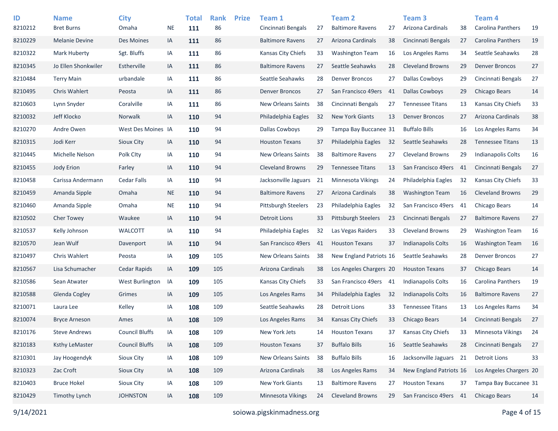| ID      | <b>Name</b>           | <b>City</b>           |           | <b>Total</b> | <b>Rank</b> | <b>Prize</b> | Team 1                    |     | Team 2                     |    | Team 3                    |     | Team 4                    |    |
|---------|-----------------------|-----------------------|-----------|--------------|-------------|--------------|---------------------------|-----|----------------------------|----|---------------------------|-----|---------------------------|----|
| 8210212 | <b>Bret Burns</b>     | Omaha                 | NE        | 111          | 86          |              | Cincinnati Bengals        | 27  | <b>Baltimore Ravens</b>    | 27 | Arizona Cardinals         | 38  | <b>Carolina Panthers</b>  | 19 |
| 8210229 | <b>Melanie Devine</b> | Des Moines            | IA        | 111          | 86          |              | <b>Baltimore Ravens</b>   | 27  | Arizona Cardinals          | 38 | Cincinnati Bengals        | 27  | Carolina Panthers         | 19 |
| 8210322 | Mark Huberty          | Sgt. Bluffs           | IA        | 111          | 86          |              | Kansas City Chiefs        | 33  | <b>Washington Team</b>     | 16 | Los Angeles Rams          | 34  | Seattle Seahawks          | 28 |
| 8210345 | Jo Ellen Shonkwiler   | Estherville           | IA        | 111          | 86          |              | <b>Baltimore Ravens</b>   | 27  | Seattle Seahawks           | 28 | <b>Cleveland Browns</b>   | 29  | <b>Denver Broncos</b>     | 27 |
| 8210484 | <b>Terry Main</b>     | urbandale             | IA        | 111          | 86          |              | Seattle Seahawks          | 28  | <b>Denver Broncos</b>      | 27 | <b>Dallas Cowboys</b>     | 29  | Cincinnati Bengals        | 27 |
| 8210495 | <b>Chris Wahlert</b>  | Peosta                | IA        | 111          | 86          |              | <b>Denver Broncos</b>     | 27  | San Francisco 49ers        | 41 | <b>Dallas Cowboys</b>     | 29  | <b>Chicago Bears</b>      | 14 |
| 8210603 | Lynn Snyder           | Coralville            | IA        | 111          | 86          |              | <b>New Orleans Saints</b> | 38  | Cincinnati Bengals         | 27 | <b>Tennessee Titans</b>   | 13  | Kansas City Chiefs        | 33 |
| 8210032 | Jeff Klocko           | Norwalk               | IA        | 110          | 94          |              | Philadelphia Eagles       | 32  | <b>New York Giants</b>     | 13 | <b>Denver Broncos</b>     | 27  | Arizona Cardinals         | 38 |
| 8210270 | Andre Owen            | West Des Moines IA    |           | 110          | 94          |              | Dallas Cowboys            | 29  | Tampa Bay Buccanee 31      |    | <b>Buffalo Bills</b>      | 16  | Los Angeles Rams          | 34 |
| 8210315 | Jodi Kerr             | Sioux City            | IA        | 110          | 94          |              | <b>Houston Texans</b>     | 37  | Philadelphia Eagles        | 32 | Seattle Seahawks          | 28  | <b>Tennessee Titans</b>   | 13 |
| 8210445 | Michelle Nelson       | Polk City             | IA        | 110          | 94          |              | New Orleans Saints        | 38  | <b>Baltimore Ravens</b>    | 27 | <b>Cleveland Browns</b>   | 29  | <b>Indianapolis Colts</b> | 16 |
| 8210455 | Jody Erion            | Farley                | IA        | 110          | 94          |              | <b>Cleveland Browns</b>   | 29  | <b>Tennessee Titans</b>    | 13 | San Francisco 49ers       | 41  | Cincinnati Bengals        | 27 |
| 8210458 | Carissa Andermann     | <b>Cedar Falls</b>    | IA        | 110          | 94          |              | Jacksonville Jaguars      | 21  | Minnesota Vikings          | 24 | Philadelphia Eagles       | 32  | Kansas City Chiefs        | 33 |
| 8210459 | Amanda Sipple         | Omaha                 | <b>NE</b> | 110          | 94          |              | <b>Baltimore Ravens</b>   | 27  | Arizona Cardinals          | 38 | <b>Washington Team</b>    | 16  | <b>Cleveland Browns</b>   | 29 |
| 8210460 | Amanda Sipple         | Omaha                 | <b>NE</b> | 110          | 94          |              | Pittsburgh Steelers       | 23  | Philadelphia Eagles        | 32 | San Francisco 49ers       | -41 | Chicago Bears             | 14 |
| 8210502 | Cher Towey            | Waukee                | IA        | 110          | 94          |              | <b>Detroit Lions</b>      | 33  | <b>Pittsburgh Steelers</b> | 23 | Cincinnati Bengals        | 27  | <b>Baltimore Ravens</b>   | 27 |
| 8210537 | Kelly Johnson         | <b>WALCOTT</b>        | IA        | 110          | 94          |              | Philadelphia Eagles       | 32  | Las Vegas Raiders          | 33 | <b>Cleveland Browns</b>   | 29  | <b>Washington Team</b>    | 16 |
| 8210570 | Jean Wulf             | Davenport             | IA        | 110          | 94          |              | San Francisco 49ers       | -41 | <b>Houston Texans</b>      | 37 | Indianapolis Colts        | 16  | <b>Washington Team</b>    | 16 |
| 8210497 | Chris Wahlert         | Peosta                | IA        | 109          | 105         |              | New Orleans Saints        | 38  | New England Patriots 16    |    | Seattle Seahawks          | 28  | <b>Denver Broncos</b>     | 27 |
| 8210567 | Lisa Schumacher       | Cedar Rapids          | IA        | 109          | 105         |              | Arizona Cardinals         | 38  | Los Angeles Chargers 20    |    | <b>Houston Texans</b>     | 37  | Chicago Bears             | 14 |
| 8210586 | Sean Atwater          | West Burlington       | IA        | 109          | 105         |              | Kansas City Chiefs        | 33  | San Francisco 49ers 41     |    | <b>Indianapolis Colts</b> | 16  | Carolina Panthers         | 19 |
| 8210588 | Glenda Cogley         | Grimes                | IA        | 109          | 105         |              | Los Angeles Rams          | 34  | Philadelphia Eagles        | 32 | Indianapolis Colts        | 16  | <b>Baltimore Ravens</b>   | 27 |
| 8210071 | Laura Lee             | Kelley                | IA        | 108          | 109         |              | Seattle Seahawks          | 28  | <b>Detroit Lions</b>       | 33 | <b>Tennessee Titans</b>   | 13  | Los Angeles Rams          | 34 |
| 8210074 | <b>Bryce Arneson</b>  | Ames                  | IA        | 108          | 109         |              | Los Angeles Rams          | 34  | <b>Kansas City Chiefs</b>  | 33 | Chicago Bears             | 14  | Cincinnati Bengals        | 27 |
| 8210176 | <b>Steve Andrews</b>  | <b>Council Bluffs</b> | IA        | 108          | 109         |              | New York Jets             | 14  | <b>Houston Texans</b>      | 37 | Kansas City Chiefs        | 33  | Minnesota Vikings         | 24 |
| 8210183 | <b>Ksthy LeMaster</b> | <b>Council Bluffs</b> | IA        | 108          | 109         |              | <b>Houston Texans</b>     | 37  | <b>Buffalo Bills</b>       | 16 | Seattle Seahawks          | 28  | Cincinnati Bengals        | 27 |
| 8210301 | Jay Hoogendyk         | Sioux City            | IA        | 108          | 109         |              | New Orleans Saints        | 38  | <b>Buffalo Bills</b>       | 16 | Jacksonville Jaguars 21   |     | <b>Detroit Lions</b>      | 33 |
| 8210323 | Zac Croft             | Sioux City            | IA        | 108          | 109         |              | Arizona Cardinals         | 38  | Los Angeles Rams           | 34 | New England Patriots 16   |     | Los Angeles Chargers 20   |    |
| 8210403 | <b>Bruce Hokel</b>    | Sioux City            | IA        | 108          | 109         |              | New York Giants           | 13  | <b>Baltimore Ravens</b>    | 27 | <b>Houston Texans</b>     | 37  | Tampa Bay Buccanee 31     |    |
| 8210429 | <b>Timothy Lynch</b>  | <b>JOHNSTON</b>       | IA        | 108          | 109         |              | Minnesota Vikings         | 24  | <b>Cleveland Browns</b>    | 29 | San Francisco 49ers       | 41  | Chicago Bears             | 14 |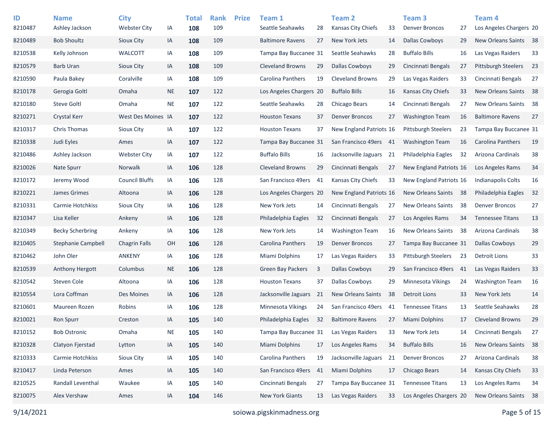| ID      | <b>Name</b>             | <b>City</b>           |           | <b>Total</b> | <b>Rank</b> | <b>Prize</b> | Team 1                   |    | <b>Team 2</b>             |    | Team <sub>3</sub>          |     | Team 4                     |    |
|---------|-------------------------|-----------------------|-----------|--------------|-------------|--------------|--------------------------|----|---------------------------|----|----------------------------|-----|----------------------------|----|
| 8210487 | Ashley Jackson          | <b>Webster City</b>   | ΙA        | 108          | 109         |              | Seattle Seahawks         | 28 | Kansas City Chiefs        | 33 | <b>Denver Broncos</b>      | 27  | Los Angeles Chargers 20    |    |
| 8210489 | <b>Bob Shoultz</b>      | Sioux City            | IA        | 108          | 109         |              | <b>Baltimore Ravens</b>  | 27 | New York Jets             | 14 | Dallas Cowboys             | 29  | New Orleans Saints         | 38 |
| 8210538 | Kelly Johnson           | <b>WALCOTT</b>        | IA        | 108          | 109         |              | Tampa Bay Buccanee 31    |    | Seattle Seahawks          | 28 | <b>Buffalo Bills</b>       | 16  | Las Vegas Raiders          | 33 |
| 8210579 | <b>Barb Uran</b>        | Sioux City            | IA        | 108          | 109         |              | <b>Cleveland Browns</b>  | 29 | <b>Dallas Cowboys</b>     | 29 | Cincinnati Bengals         | 27  | <b>Pittsburgh Steelers</b> | 23 |
| 8210590 | Paula Bakey             | Coralville            | IA        | 108          | 109         |              | Carolina Panthers        | 19 | <b>Cleveland Browns</b>   | 29 | Las Vegas Raiders          | 33  | Cincinnati Bengals         | 27 |
| 8210178 | Gerogia Goltl           | Omaha                 | <b>NE</b> | 107          | 122         |              | Los Angeles Chargers 20  |    | <b>Buffalo Bills</b>      | 16 | <b>Kansas City Chiefs</b>  | 33  | New Orleans Saints         | 38 |
| 8210180 | <b>Steve Goltl</b>      | Omaha                 | NE        | 107          | 122         |              | Seattle Seahawks         | 28 | Chicago Bears             | 14 | Cincinnati Bengals         | 27  | New Orleans Saints         | 38 |
| 8210271 | Crystal Kerr            | West Des Moines IA    |           | 107          | 122         |              | <b>Houston Texans</b>    | 37 | <b>Denver Broncos</b>     | 27 | <b>Washington Team</b>     | 16  | <b>Baltimore Ravens</b>    | 27 |
| 8210317 | <b>Chris Thomas</b>     | Sioux City            | IA        | 107          | 122         |              | <b>Houston Texans</b>    | 37 | New England Patriots 16   |    | <b>Pittsburgh Steelers</b> | 23  | Tampa Bay Buccanee 31      |    |
| 8210338 | Judi Eyles              | Ames                  | IA        | 107          | 122         |              | Tampa Bay Buccanee 31    |    | San Francisco 49ers 41    |    | <b>Washington Team</b>     | 16  | Carolina Panthers          | 19 |
| 8210486 | Ashley Jackson          | <b>Webster City</b>   | IA        | 107          | 122         |              | <b>Buffalo Bills</b>     | 16 | Jacksonville Jaguars      | 21 | Philadelphia Eagles        | 32  | Arizona Cardinals          | 38 |
| 8210026 | <b>Nate Spurr</b>       | Norwalk               | IA        | 106          | 128         |              | <b>Cleveland Browns</b>  | 29 | Cincinnati Bengals        | 27 | New England Patriots 16    |     | Los Angeles Rams           | 34 |
| 8210172 | Jeremy Wood             | <b>Council Bluffs</b> | IA        | 106          | 128         |              | San Francisco 49ers      | 41 | <b>Kansas City Chiefs</b> | 33 | New England Patriots 16    |     | <b>Indianapolis Colts</b>  | 16 |
| 8210221 | James Grimes            | Altoona               | IA        | 106          | 128         |              | Los Angeles Chargers 20  |    | New England Patriots 16   |    | New Orleans Saints         | -38 | Philadelphia Eagles        | 32 |
| 8210331 | Carmie Hotchkiss        | Sioux City            | IA        | 106          | 128         |              | New York Jets            | 14 | Cincinnati Bengals        | 27 | <b>New Orleans Saints</b>  | 38  | <b>Denver Broncos</b>      | 27 |
| 8210347 | Lisa Keller             | Ankeny                | IA        | 106          | 128         |              | Philadelphia Eagles      | 32 | Cincinnati Bengals        | 27 | Los Angeles Rams           | 34  | <b>Tennessee Titans</b>    | 13 |
| 8210349 | <b>Becky Scherbring</b> | Ankeny                | IA        | 106          | 128         |              | New York Jets            | 14 | <b>Washington Team</b>    | 16 | New Orleans Saints         | 38  | Arizona Cardinals          | 38 |
| 8210405 | Stephanie Campbell      | <b>Chagrin Falls</b>  | OН        | 106          | 128         |              | <b>Carolina Panthers</b> | 19 | <b>Denver Broncos</b>     | 27 | Tampa Bay Buccanee 31      |     | Dallas Cowboys             | 29 |
| 8210462 | John Oler               | <b>ANKENY</b>         | ΙA        | 106          | 128         |              | Miami Dolphins           | 17 | Las Vegas Raiders         | 33 | Pittsburgh Steelers        | 23  | <b>Detroit Lions</b>       | 33 |
| 8210539 | Anthony Hergott         | Columbus              | <b>NE</b> | 106          | 128         |              | Green Bay Packers        | 3  | <b>Dallas Cowboys</b>     | 29 | San Francisco 49ers        | -41 | Las Vegas Raiders          | 33 |
| 8210542 | Steven Cole             | Altoona               | ΙA        | 106          | 128         |              | <b>Houston Texans</b>    | 37 | <b>Dallas Cowboys</b>     | 29 | <b>Minnesota Vikings</b>   | 24  | <b>Washington Team</b>     | 16 |
| 8210554 | Lora Coffman            | Des Moines            | IA        | 106          | 128         |              | Jacksonville Jaguars     | 21 | <b>New Orleans Saints</b> | 38 | <b>Detroit Lions</b>       | 33  | New York Jets              | 14 |
| 8210601 | Maureen Rozen           | Robins                | ΙA        | 106          | 128         |              | Minnesota Vikings        | 24 | San Francisco 49ers       | 41 | <b>Tennessee Titans</b>    | 13  | Seattle Seahawks           | 28 |
| 8210021 | <b>Ron Spurr</b>        | Creston               | IA        | 105          | 140         |              | Philadelphia Eagles      | 32 | <b>Baltimore Ravens</b>   | 27 | Miami Dolphins             | 17  | <b>Cleveland Browns</b>    | 29 |
| 8210152 | <b>Bob Ostronic</b>     | Omaha                 | <b>NE</b> | 105          | 140         |              | Tampa Bay Buccanee 31    |    | Las Vegas Raiders         | 33 | New York Jets              | 14  | Cincinnati Bengals         | 27 |
| 8210328 | Clatyon Fjerstad        | Lytton                | IA        | 105          | 140         |              | Miami Dolphins           | 17 | Los Angeles Rams          | 34 | <b>Buffalo Bills</b>       | 16  | New Orleans Saints         | 38 |
| 8210333 | Carmie Hotchkiss        | Sioux City            | IA        | 105          | 140         |              | Carolina Panthers        | 19 | Jacksonville Jaguars 21   |    | <b>Denver Broncos</b>      | 27  | Arizona Cardinals          | 38 |
| 8210417 | Linda Peterson          | Ames                  | IA        | 105          | 140         |              | San Francisco 49ers      | 41 | <b>Miami Dolphins</b>     | 17 | <b>Chicago Bears</b>       | 14  | Kansas City Chiefs         | 33 |
| 8210525 | Randall Leventhal       | Waukee                | IA        | 105          | 140         |              | Cincinnati Bengals       | 27 | Tampa Bay Buccanee 31     |    | <b>Tennessee Titans</b>    | 13  | Los Angeles Rams           | 34 |
| 8210075 | Alex Vershaw            | Ames                  | IA        | 104          | 146         |              | New York Giants          | 13 | Las Vegas Raiders         | 33 | Los Angeles Chargers 20    |     | New Orleans Saints         | 38 |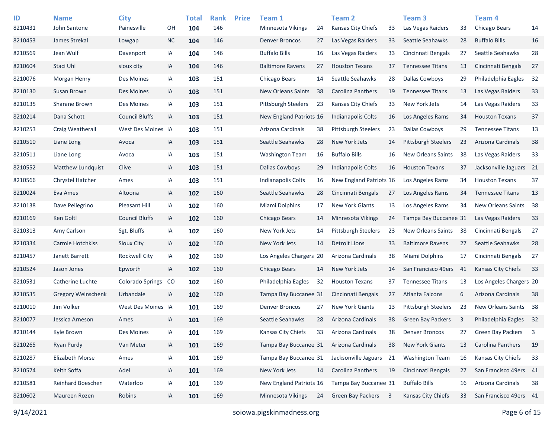| ID<br>8210431 | <b>Name</b><br>John Santone | <b>City</b><br>Painesville | OH | <b>Total</b><br>104 | <b>Rank</b><br>146 | <b>Prize</b> | Team 1<br><b>Minnesota Vikings</b> | 24 | <b>Team 2</b><br>Kansas City Chiefs | 33 | Team <sub>3</sub><br>Las Vegas Raiders | 33  | Team <sub>4</sub><br>Chicago Bears | 14             |
|---------------|-----------------------------|----------------------------|----|---------------------|--------------------|--------------|------------------------------------|----|-------------------------------------|----|----------------------------------------|-----|------------------------------------|----------------|
| 8210453       | James Strekal               | Lowgap                     | NC | 104                 | 146                |              | <b>Denver Broncos</b>              | 27 | Las Vegas Raiders                   | 33 | Seattle Seahawks                       | 28  | <b>Buffalo Bills</b>               | 16             |
| 8210569       | Jean Wulf                   | Davenport                  | IA | 104                 | 146                |              | <b>Buffalo Bills</b>               | 16 | Las Vegas Raiders                   | 33 | Cincinnati Bengals                     | 27  | Seattle Seahawks                   | 28             |
| 8210604       | Staci Uhl                   | sioux city                 | IA | 104                 | 146                |              | <b>Baltimore Ravens</b>            | 27 | <b>Houston Texans</b>               | 37 | <b>Tennessee Titans</b>                | 13  | Cincinnati Bengals                 | 27             |
| 8210076       | <b>Morgan Henry</b>         | Des Moines                 | IA | 103                 | 151                |              | Chicago Bears                      | 14 | Seattle Seahawks                    | 28 | <b>Dallas Cowboys</b>                  | 29  | Philadelphia Eagles                | 32             |
| 8210130       | Susan Brown                 | Des Moines                 | IA | 103                 | 151                |              | <b>New Orleans Saints</b>          | 38 | <b>Carolina Panthers</b>            | 19 | <b>Tennessee Titans</b>                | 13  | Las Vegas Raiders                  | 33             |
| 8210135       | Sharane Brown               | Des Moines                 | IA | 103                 | 151                |              | <b>Pittsburgh Steelers</b>         | 23 | Kansas City Chiefs                  | 33 | New York Jets                          | 14  | Las Vegas Raiders                  | 33             |
| 8210214       | Dana Schott                 | <b>Council Bluffs</b>      | IA | 103                 | 151                |              | New England Patriots 16            |    | <b>Indianapolis Colts</b>           | 16 | Los Angeles Rams                       | 34  | <b>Houston Texans</b>              | 37             |
| 8210253       | Craig Weatherall            | West Des Moines IA         |    | 103                 | 151                |              | Arizona Cardinals                  | 38 | <b>Pittsburgh Steelers</b>          | 23 | Dallas Cowboys                         | 29  | <b>Tennessee Titans</b>            | 13             |
| 8210510       | Liane Long                  | Avoca                      | IA | 103                 | 151                |              | Seattle Seahawks                   | 28 | New York Jets                       | 14 | <b>Pittsburgh Steelers</b>             | 23  | Arizona Cardinals                  | 38             |
| 8210511       | Liane Long                  | Avoca                      | IA | 103                 | 151                |              | Washington Team                    | 16 | <b>Buffalo Bills</b>                | 16 | New Orleans Saints                     | 38  | Las Vegas Raiders                  | 33             |
| 8210552       | Matthew Lundquist           | Clive                      | IA | 103                 | 151                |              | Dallas Cowboys                     | 29 | <b>Indianapolis Colts</b>           | 16 | <b>Houston Texans</b>                  | 37  | Jacksonville Jaguars 21            |                |
| 8210566       | Chrystel Hatcher            | Ames                       | IA | 103                 | 151                |              | <b>Indianapolis Colts</b>          | 16 | New England Patriots 16             |    | Los Angeles Rams                       | 34  | <b>Houston Texans</b>              | 37             |
| 8210024       | Eva Ames                    | Altoona                    | IA | 102                 | 160                |              | Seattle Seahawks                   | 28 | Cincinnati Bengals                  | 27 | Los Angeles Rams                       | 34  | <b>Tennessee Titans</b>            | 13             |
| 8210138       | Dave Pellegrino             | Pleasant Hill              | IA | 102                 | 160                |              | Miami Dolphins                     | 17 | <b>New York Giants</b>              | 13 | Los Angeles Rams                       | 34  | New Orleans Saints                 | 38             |
| 8210169       | Ken Goltl                   | <b>Council Bluffs</b>      | IA | 102                 | 160                |              | Chicago Bears                      | 14 | Minnesota Vikings                   | 24 | Tampa Bay Buccanee 31                  |     | Las Vegas Raiders                  | 33             |
| 8210313       | Amy Carlson                 | Sgt. Bluffs                | IA | 102                 | 160                |              | New York Jets                      | 14 | <b>Pittsburgh Steelers</b>          | 23 | New Orleans Saints                     | 38  | Cincinnati Bengals                 | 27             |
| 8210334       | Carmie Hotchkiss            | Sioux City                 | IA | 102                 | 160                |              | New York Jets                      | 14 | Detroit Lions                       | 33 | <b>Baltimore Ravens</b>                | 27  | Seattle Seahawks                   | 28             |
| 8210457       | Janett Barrett              | <b>Rockwell City</b>       | IA | 102                 | 160                |              | Los Angeles Chargers 20            |    | Arizona Cardinals                   | 38 | Miami Dolphins                         | 17  | Cincinnati Bengals                 | 27             |
| 8210524       | Jason Jones                 | Epworth                    | IA | 102                 | 160                |              | Chicago Bears                      | 14 | New York Jets                       | 14 | San Francisco 49ers                    | -41 | <b>Kansas City Chiefs</b>          | 33             |
| 8210531       | Catherine Luchte            | Colorado Springs           | CO | 102                 | 160                |              | Philadelphia Eagles                | 32 | <b>Houston Texans</b>               | 37 | <b>Tennessee Titans</b>                | 13  | Los Angeles Chargers 20            |                |
| 8210535       | <b>Gregory Weinschenk</b>   | Urbandale                  | IA | 102                 | 160                |              | Tampa Bay Buccanee 31              |    | Cincinnati Bengals                  | 27 | Atlanta Falcons                        | 6   | Arizona Cardinals                  | 38             |
| 8210010       | Jim Volker                  | West Des Moines IA         |    | 101                 | 169                |              | <b>Denver Broncos</b>              | 27 | <b>New York Giants</b>              | 13 | <b>Pittsburgh Steelers</b>             | 23  | New Orleans Saints                 | 38             |
| 8210077       | Jessica Arneson             | Ames                       | IA | 101                 | 169                |              | Seattle Seahawks                   | 28 | Arizona Cardinals                   | 38 | <b>Green Bay Packers</b>               | 3   | Philadelphia Eagles                | 32             |
| 8210144       | Kyle Brown                  | Des Moines                 | IA | 101                 | 169                |              | Kansas City Chiefs                 | 33 | Arizona Cardinals                   | 38 | <b>Denver Broncos</b>                  | 27  | Green Bay Packers                  | $\overline{3}$ |
| 8210265       | Ryan Purdy                  | Van Meter                  | IA | 101                 | 169                |              | Tampa Bay Buccanee 31              |    | Arizona Cardinals                   | 38 | New York Giants                        | 13  | Carolina Panthers                  | 19             |
| 8210287       | Elizabeth Morse             | Ames                       | IA | 101                 | 169                |              | Tampa Bay Buccanee 31              |    | Jacksonville Jaguars 21             |    | <b>Washington Team</b>                 | 16  | Kansas City Chiefs                 | 33             |
| 8210574       | Keith Soffa                 | Adel                       | IA | 101                 | 169                |              | New York Jets                      | 14 | Carolina Panthers                   | 19 | Cincinnati Bengals                     | 27  | San Francisco 49ers 41             |                |
| 8210581       | Reinhard Boeschen           | Waterloo                   | IA | 101                 | 169                |              | New England Patriots 16            |    | Tampa Bay Buccanee 31               |    | <b>Buffalo Bills</b>                   | 16  | Arizona Cardinals                  | 38             |
| 8210602       | Maureen Rozen               | Robins                     | IA | 101                 | 169                |              | Minnesota Vikings                  | 24 | Green Bay Packers 3                 |    | Kansas City Chiefs                     | 33  | San Francisco 49ers 41             |                |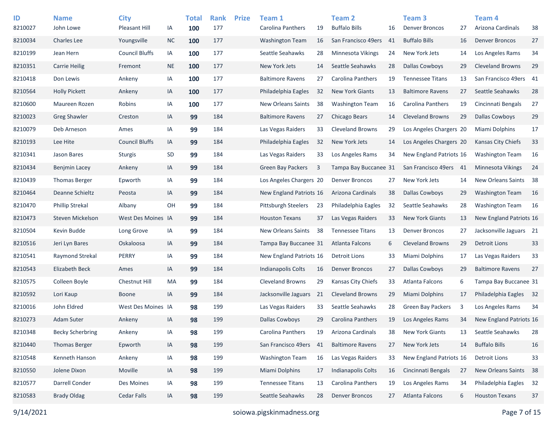| ID<br>8210027 | <b>Name</b><br>John Lowe | <b>City</b><br>Pleasant Hill | IA        | <b>Total</b><br>100 | <b>Rank</b><br>177 | <b>Prize</b> | Team 1<br>Carolina Panthers | 19 | Team <sub>2</sub><br><b>Buffalo Bills</b> | 16 | Team <sub>3</sub><br><b>Denver Broncos</b> | 27   | Team 4<br>Arizona Cardinals | 38 |
|---------------|--------------------------|------------------------------|-----------|---------------------|--------------------|--------------|-----------------------------|----|-------------------------------------------|----|--------------------------------------------|------|-----------------------------|----|
| 8210034       | <b>Charles Lee</b>       | Youngsville                  | <b>NC</b> | 100                 | 177                |              | <b>Washington Team</b>      | 16 | San Francisco 49ers                       | 41 | <b>Buffalo Bills</b>                       | 16   | <b>Denver Broncos</b>       | 27 |
| 8210199       | Jean Hern                | <b>Council Bluffs</b>        | IA        | 100                 | 177                |              | Seattle Seahawks            | 28 | Minnesota Vikings                         | 24 | New York Jets                              | 14   | Los Angeles Rams            | 34 |
| 8210351       | <b>Carrie Heilig</b>     | Fremont                      | <b>NE</b> | 100                 | 177                |              | New York Jets               | 14 | Seattle Seahawks                          | 28 | <b>Dallas Cowboys</b>                      | 29   | <b>Cleveland Browns</b>     | 29 |
| 8210418       | Don Lewis                | Ankeny                       | IA        | 100                 | 177                |              | <b>Baltimore Ravens</b>     | 27 | Carolina Panthers                         | 19 | <b>Tennessee Titans</b>                    | 13   | San Francisco 49ers 41      |    |
| 8210564       | <b>Holly Pickett</b>     | Ankeny                       | IA        | 100                 | 177                |              | Philadelphia Eagles         | 32 | <b>New York Giants</b>                    | 13 | <b>Baltimore Ravens</b>                    | 27   | Seattle Seahawks            | 28 |
| 8210600       | Maureen Rozen            | Robins                       | IA        | 100                 | 177                |              | <b>New Orleans Saints</b>   | 38 | <b>Washington Team</b>                    | 16 | Carolina Panthers                          | 19   | Cincinnati Bengals          | 27 |
| 8210023       | <b>Greg Shawler</b>      | Creston                      | IA        | 99                  | 184                |              | <b>Baltimore Ravens</b>     | 27 | Chicago Bears                             | 14 | <b>Cleveland Browns</b>                    | 29   | <b>Dallas Cowboys</b>       | 29 |
| 8210079       | Deb Arneson              | Ames                         | IA        | 99                  | 184                |              | Las Vegas Raiders           | 33 | <b>Cleveland Browns</b>                   | 29 | Los Angeles Chargers 20                    |      | Miami Dolphins              | 17 |
| 8210193       | Lee Hite                 | <b>Council Bluffs</b>        | IA        | 99                  | 184                |              | Philadelphia Eagles         | 32 | New York Jets                             | 14 | Los Angeles Chargers 20                    |      | <b>Kansas City Chiefs</b>   | 33 |
| 8210341       | Jason Bares              | <b>Sturgis</b>               | SD        | 99                  | 184                |              | Las Vegas Raiders           | 33 | Los Angeles Rams                          | 34 | New England Patriots 16                    |      | <b>Washington Team</b>      | 16 |
| 8210434       | Benjmin Lacey            | Ankeny                       | IA        | 99                  | 184                |              | <b>Green Bay Packers</b>    | 3  | Tampa Bay Buccanee 31                     |    | San Francisco 49ers                        | - 41 | <b>Minnesota Vikings</b>    | 24 |
| 8210439       | <b>Thomas Berger</b>     | Epworth                      | IA        | 99                  | 184                |              | Los Angeles Chargers 20     |    | <b>Denver Broncos</b>                     | 27 | New York Jets                              | 14   | New Orleans Saints          | 38 |
| 8210464       | Deanne Schieltz          | Peosta                       | IA        | 99                  | 184                |              | New England Patriots 16     |    | Arizona Cardinals                         | 38 | Dallas Cowboys                             | 29   | <b>Washington Team</b>      | 16 |
| 8210470       | <b>Phillip Strekal</b>   | Albany                       | OH        | 99                  | 184                |              | <b>Pittsburgh Steelers</b>  | 23 | Philadelphia Eagles                       | 32 | Seattle Seahawks                           | 28   | <b>Washington Team</b>      | 16 |
| 8210473       | Steven Mickelson         | West Des Moines IA           |           | 99                  | 184                |              | <b>Houston Texans</b>       | 37 | Las Vegas Raiders                         | 33 | <b>New York Giants</b>                     | 13   | New England Patriots 16     |    |
| 8210504       | Kevin Budde              | Long Grove                   | IA        | 99                  | 184                |              | <b>New Orleans Saints</b>   | 38 | <b>Tennessee Titans</b>                   | 13 | <b>Denver Broncos</b>                      | 27   | Jacksonville Jaguars 21     |    |
| 8210516       | Jeri Lyn Bares           | Oskaloosa                    | IA        | 99                  | 184                |              | Tampa Bay Buccanee 31       |    | <b>Atlanta Falcons</b>                    | 6  | <b>Cleveland Browns</b>                    | 29   | <b>Detroit Lions</b>        | 33 |
| 8210541       | Raymond Strekal          | PERRY                        | IA        | 99                  | 184                |              | New England Patriots 16     |    | Detroit Lions                             | 33 | Miami Dolphins                             | 17   | Las Vegas Raiders           | 33 |
| 8210543       | Elizabeth Beck           | Ames                         | IA        | 99                  | 184                |              | <b>Indianapolis Colts</b>   | 16 | <b>Denver Broncos</b>                     | 27 | Dallas Cowboys                             | 29   | <b>Baltimore Ravens</b>     | 27 |
| 8210575       | Colleen Boyle            | <b>Chestnut Hill</b>         | MA        | 99                  | 184                |              | <b>Cleveland Browns</b>     | 29 | Kansas City Chiefs                        | 33 | Atlanta Falcons                            | 6    | Tampa Bay Buccanee 31       |    |
| 8210592       | Lori Kaup                | <b>Boone</b>                 | IA        | 99                  | 184                |              | Jacksonville Jaguars        | 21 | <b>Cleveland Browns</b>                   | 29 | <b>Miami Dolphins</b>                      | 17   | Philadelphia Eagles         | 32 |
| 8210016       | John Eldred              | West Des Moines IA           |           | 98                  | 199                |              | Las Vegas Raiders           | 33 | Seattle Seahawks                          | 28 | <b>Green Bay Packers</b>                   | 3    | Los Angeles Rams            | 34 |
| 8210273       | <b>Adam Suter</b>        | Ankeny                       | IA        | 98                  | 199                |              | <b>Dallas Cowboys</b>       | 29 | Carolina Panthers                         | 19 | Los Angeles Rams                           | 34   | New England Patriots 16     |    |
| 8210348       | <b>Becky Scherbring</b>  | Ankeny                       | IA        | 98                  | 199                |              | Carolina Panthers           | 19 | Arizona Cardinals                         | 38 | <b>New York Giants</b>                     | 13   | Seattle Seahawks            | 28 |
| 8210440       | <b>Thomas Berger</b>     | Epworth                      | IA        | 98                  | 199                |              | San Francisco 49ers         | 41 | <b>Baltimore Ravens</b>                   | 27 | New York Jets                              | 14   | <b>Buffalo Bills</b>        | 16 |
| 8210548       | Kenneth Hanson           | Ankeny                       | IA        | 98                  | 199                |              | <b>Washington Team</b>      | 16 | Las Vegas Raiders                         | 33 | New England Patriots 16                    |      | <b>Detroit Lions</b>        | 33 |
| 8210550       | Jolene Dixon             | Moville                      | IA        | 98                  | 199                |              | Miami Dolphins              | 17 | Indianapolis Colts                        | 16 | Cincinnati Bengals                         | 27   | New Orleans Saints          | 38 |
| 8210577       | Darrell Conder           | Des Moines                   | IA        | 98                  | 199                |              | <b>Tennessee Titans</b>     | 13 | Carolina Panthers                         | 19 | Los Angeles Rams                           | 34   | Philadelphia Eagles         | 32 |
| 8210583       | <b>Brady Oldag</b>       | <b>Cedar Falls</b>           | IA        | 98                  | 199                |              | Seattle Seahawks            | 28 | <b>Denver Broncos</b>                     | 27 | Atlanta Falcons                            | 6    | <b>Houston Texans</b>       | 37 |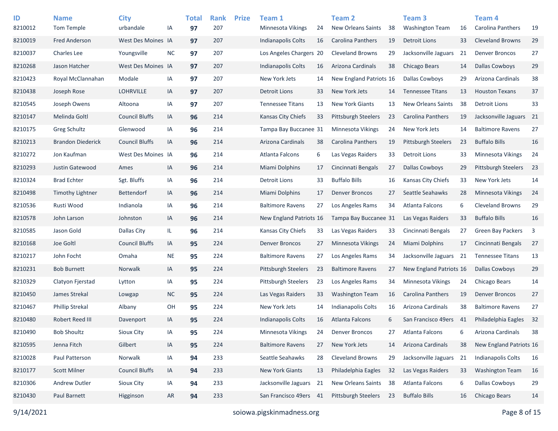| ID<br>8210012 | <b>Name</b><br>Tom Temple | <b>City</b><br>urbandale | IA        | <b>Total</b><br>97 | <b>Rank</b><br>207 | <b>Prize</b> | Team 1<br><b>Minnesota Vikings</b> | 24 | <b>Team 2</b><br><b>New Orleans Saints</b> | 38 | Team <sub>3</sub><br><b>Washington Team</b> | 16  | Team <sub>4</sub><br>Carolina Panthers | 19  |
|---------------|---------------------------|--------------------------|-----------|--------------------|--------------------|--------------|------------------------------------|----|--------------------------------------------|----|---------------------------------------------|-----|----------------------------------------|-----|
| 8210019       | <b>Fred Anderson</b>      | West Des Moines IA       |           | 97                 | 207                |              | <b>Indianapolis Colts</b>          | 16 | Carolina Panthers                          | 19 | <b>Detroit Lions</b>                        | 33  | <b>Cleveland Browns</b>                | 29  |
| 8210037       | Charles Lee               | Youngsville              | <b>NC</b> | 97                 | 207                |              | Los Angeles Chargers 20            |    | <b>Cleveland Browns</b>                    | 29 | Jacksonville Jaguars                        | 21  | <b>Denver Broncos</b>                  | 27  |
| 8210268       | Jason Hatcher             | West Des Moines IA       |           | 97                 | 207                |              | <b>Indianapolis Colts</b>          | 16 | Arizona Cardinals                          | 38 | <b>Chicago Bears</b>                        | 14  | <b>Dallas Cowboys</b>                  | 29  |
| 8210423       | Royal McClannahan         | Modale                   | IA        | 97                 | 207                |              | New York Jets                      | 14 | New England Patriots 16                    |    | Dallas Cowboys                              | 29  | Arizona Cardinals                      | 38  |
| 8210438       | Joseph Rose               | <b>LOHRVILLE</b>         | IA        | 97                 | 207                |              | <b>Detroit Lions</b>               | 33 | New York Jets                              | 14 | <b>Tennessee Titans</b>                     | 13  | <b>Houston Texans</b>                  | 37  |
| 8210545       | Joseph Owens              | Altoona                  | IA        | 97                 | 207                |              | <b>Tennessee Titans</b>            | 13 | <b>New York Giants</b>                     | 13 | <b>New Orleans Saints</b>                   | 38  | <b>Detroit Lions</b>                   | 33  |
| 8210147       | Melinda Goltl             | <b>Council Bluffs</b>    | IA        | 96                 | 214                |              | Kansas City Chiefs                 | 33 | <b>Pittsburgh Steelers</b>                 | 23 | <b>Carolina Panthers</b>                    | 19  | Jacksonville Jaguars 21                |     |
| 8210175       | Greg Schultz              | Glenwood                 | IA        | 96                 | 214                |              | Tampa Bay Buccanee 31              |    | Minnesota Vikings                          | 24 | New York Jets                               | 14  | <b>Baltimore Ravens</b>                | 27  |
| 8210213       | <b>Brandon Diederick</b>  | <b>Council Bluffs</b>    | IA        | 96                 | 214                |              | Arizona Cardinals                  | 38 | Carolina Panthers                          | 19 | Pittsburgh Steelers                         | 23  | <b>Buffalo Bills</b>                   | 16  |
| 8210272       | Jon Kaufman               | West Des Moines IA       |           | 96                 | 214                |              | Atlanta Falcons                    | 6  | Las Vegas Raiders                          | 33 | <b>Detroit Lions</b>                        | 33  | <b>Minnesota Vikings</b>               | 24  |
| 8210293       | Justin Gatewood           | Ames                     | IA        | 96                 | 214                |              | Miami Dolphins                     | 17 | Cincinnati Bengals                         | 27 | <b>Dallas Cowboys</b>                       | 29  | <b>Pittsburgh Steelers</b>             | 23  |
| 8210324       | <b>Brad Echter</b>        | Sgt. Bluffs              | IA        | 96                 | 214                |              | <b>Detroit Lions</b>               | 33 | <b>Buffalo Bills</b>                       | 16 | Kansas City Chiefs                          | 33  | New York Jets                          | 14  |
| 8210498       | Timothy Lightner          | <b>Bettendorf</b>        | IA        | 96                 | 214                |              | <b>Miami Dolphins</b>              | 17 | <b>Denver Broncos</b>                      | 27 | Seattle Seahawks                            | 28  | Minnesota Vikings                      | 24  |
| 8210536       | Rusti Wood                | Indianola                | IA        | 96                 | 214                |              | <b>Baltimore Ravens</b>            | 27 | Los Angeles Rams                           | 34 | Atlanta Falcons                             | 6   | <b>Cleveland Browns</b>                | 29  |
| 8210578       | John Larson               | Johnston                 | IA        | 96                 | 214                |              | New England Patriots 16            |    | Tampa Bay Buccanee 31                      |    | Las Vegas Raiders                           | 33  | <b>Buffalo Bills</b>                   | 16  |
| 8210585       | Jason Gold                | Dallas City              | IL        | 96                 | 214                |              | Kansas City Chiefs                 | 33 | Las Vegas Raiders                          | 33 | Cincinnati Bengals                          | 27  | <b>Green Bay Packers</b>               | 3   |
| 8210168       | Joe Goltl                 | <b>Council Bluffs</b>    | IA        | 95                 | 224                |              | <b>Denver Broncos</b>              | 27 | Minnesota Vikings                          | 24 | Miami Dolphins                              | 17  | Cincinnati Bengals                     | 27  |
| 8210217       | John Focht                | Omaha                    | <b>NE</b> | 95                 | 224                |              | <b>Baltimore Ravens</b>            | 27 | Los Angeles Rams                           | 34 | Jacksonville Jaguars                        | 21  | <b>Tennessee Titans</b>                | 13  |
| 8210231       | <b>Bob Burnett</b>        | Norwalk                  | IA        | 95                 | 224                |              | Pittsburgh Steelers                | 23 | <b>Baltimore Ravens</b>                    | 27 | New England Patriots 16                     |     | <b>Dallas Cowboys</b>                  | 29  |
| 8210329       | Clatyon Fjerstad          | Lytton                   | IA        | 95                 | 224                |              | <b>Pittsburgh Steelers</b>         | 23 | Los Angeles Rams                           | 34 | Minnesota Vikings                           | 24  | Chicago Bears                          | 14  |
| 8210450       | James Strekal             | Lowgap                   | <b>NC</b> | 95                 | 224                |              | Las Vegas Raiders                  | 33 | <b>Washington Team</b>                     | 16 | Carolina Panthers                           | 19  | <b>Denver Broncos</b>                  | 27  |
| 8210467       | <b>Phillip Strekal</b>    | Albany                   | OH        | 95                 | 224                |              | New York Jets                      | 14 | Indianapolis Colts                         | 16 | Arizona Cardinals                           | 38  | <b>Baltimore Ravens</b>                | 27  |
| 8210480       | Robert Reed III           | Davenport                | IA        | 95                 | 224                |              | <b>Indianapolis Colts</b>          | 16 | Atlanta Falcons                            | 6  | San Francisco 49ers                         | -41 | Philadelphia Eagles                    | -32 |
| 8210490       | <b>Bob Shoultz</b>        | Sioux City               | IA        | 95                 | 224                |              | Minnesota Vikings                  | 24 | <b>Denver Broncos</b>                      | 27 | Atlanta Falcons                             | 6   | Arizona Cardinals                      | 38  |
| 8210595       | Jenna Fitch               | Gilbert                  | IA        | 95                 | 224                |              | <b>Baltimore Ravens</b>            | 27 | New York Jets                              | 14 | Arizona Cardinals                           | 38  | New England Patriots 16                |     |
| 8210028       | Paul Patterson            | Norwalk                  | IA        | 94                 | 233                |              | Seattle Seahawks                   | 28 | <b>Cleveland Browns</b>                    | 29 | Jacksonville Jaguars                        | 21  | Indianapolis Colts                     | 16  |
| 8210177       | <b>Scott Milner</b>       | <b>Council Bluffs</b>    | IA        | 94                 | 233                |              | New York Giants                    | 13 | Philadelphia Eagles                        | 32 | Las Vegas Raiders                           | 33  | <b>Washington Team</b>                 | 16  |
| 8210306       | Andrew Dutler             | Sioux City               | IA        | 94                 | 233                |              | Jacksonville Jaguars               | 21 | New Orleans Saints                         | 38 | Atlanta Falcons                             | 6   | <b>Dallas Cowboys</b>                  | 29  |
| 8210430       | Paul Barnett              | Higginson                | AR        | 94                 | 233                |              | San Francisco 49ers 41             |    | Pittsburgh Steelers                        | 23 | <b>Buffalo Bills</b>                        | 16  | Chicago Bears                          | 14  |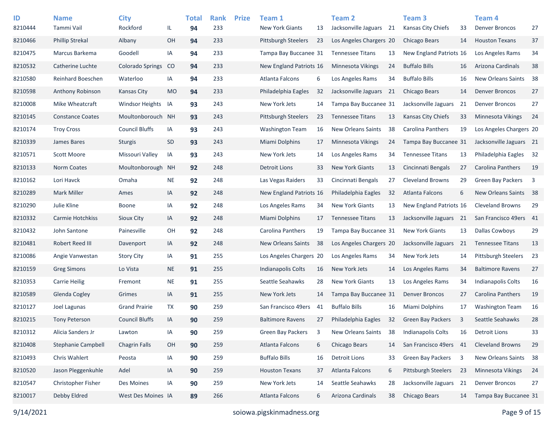| ID<br>8210444 | <b>Name</b><br>Tammi Vail | <b>City</b><br>Rockford | IL            | <b>Total</b><br>94 | <b>Rank</b><br>233 | <b>Prize</b> | Team 1<br><b>New York Giants</b> | 13 | <b>Team 2</b><br>Jacksonville Jaguars 21 |    | Team <sub>3</sub><br>Kansas City Chiefs | 33   | Team <sub>4</sub><br><b>Denver Broncos</b> | 27                      |
|---------------|---------------------------|-------------------------|---------------|--------------------|--------------------|--------------|----------------------------------|----|------------------------------------------|----|-----------------------------------------|------|--------------------------------------------|-------------------------|
| 8210466       | <b>Phillip Strekal</b>    | Albany                  | OH            | 94                 | 233                |              | <b>Pittsburgh Steelers</b>       | 23 | Los Angeles Chargers 20                  |    | Chicago Bears                           | 14   | <b>Houston Texans</b>                      | 37                      |
| 8210475       | Marcus Barkema            | Goodell                 | IA            | 94                 | 233                |              | Tampa Bay Buccanee 31            |    | <b>Tennessee Titans</b>                  | 13 | New England Patriots 16                 |      | Los Angeles Rams                           | 34                      |
| 8210532       | Catherine Luchte          | <b>Colorado Springs</b> | <sub>co</sub> | 94                 | 233                |              | New England Patriots 16          |    | Minnesota Vikings                        | 24 | <b>Buffalo Bills</b>                    | 16   | Arizona Cardinals                          | 38                      |
| 8210580       | Reinhard Boeschen         | Waterloo                | IA            | 94                 | 233                |              | Atlanta Falcons                  | 6  | Los Angeles Rams                         | 34 | <b>Buffalo Bills</b>                    | 16   | New Orleans Saints                         | 38                      |
| 8210598       | Anthony Robinson          | <b>Kansas City</b>      | <b>MO</b>     | 94                 | 233                |              | Philadelphia Eagles              | 32 | Jacksonville Jaguars 21                  |    | Chicago Bears                           | 14   | <b>Denver Broncos</b>                      | 27                      |
| 8210008       | Mike Wheatcraft           | <b>Windsor Heights</b>  | IA            | 93                 | 243                |              | New York Jets                    | 14 | Tampa Bay Buccanee 31                    |    | Jacksonville Jaguars                    | 21   | <b>Denver Broncos</b>                      | 27                      |
| 8210145       | <b>Constance Coates</b>   | Moultonborouch          | <b>NH</b>     | 93                 | 243                |              | <b>Pittsburgh Steelers</b>       | 23 | <b>Tennessee Titans</b>                  | 13 | Kansas City Chiefs                      | 33   | Minnesota Vikings                          | 24                      |
| 8210174       | <b>Troy Cross</b>         | <b>Council Bluffs</b>   | IA            | 93                 | 243                |              | <b>Washington Team</b>           | 16 | <b>New Orleans Saints</b>                | 38 | <b>Carolina Panthers</b>                | 19   | Los Angeles Chargers 20                    |                         |
| 8210339       | James Bares               | <b>Sturgis</b>          | SD            | 93                 | 243                |              | <b>Miami Dolphins</b>            | 17 | Minnesota Vikings                        | 24 | Tampa Bay Buccanee 31                   |      | Jacksonville Jaguars 21                    |                         |
| 8210571       | Scott Moore               | Missouri Valley         | IA            | 93                 | 243                |              | New York Jets                    | 14 | Los Angeles Rams                         | 34 | <b>Tennessee Titans</b>                 | 13   | Philadelphia Eagles                        | 32                      |
| 8210133       | <b>Norm Coates</b>        | Moultonborough          | <b>NH</b>     | 92                 | 248                |              | <b>Detroit Lions</b>             | 33 | <b>New York Giants</b>                   | 13 | Cincinnati Bengals                      | 27   | Carolina Panthers                          | 19                      |
| 8210162       | Lori Havck                | Omaha                   | <b>NE</b>     | 92                 | 248                |              | Las Vegas Raiders                | 33 | Cincinnati Bengals                       | 27 | <b>Cleveland Browns</b>                 | 29   | <b>Green Bay Packers</b>                   | $\overline{\mathbf{3}}$ |
| 8210289       | <b>Mark Miller</b>        | Ames                    | IA            | 92                 | 248                |              | New England Patriots 16          |    | Philadelphia Eagles                      | 32 | <b>Atlanta Falcons</b>                  | 6    | New Orleans Saints                         | 38                      |
| 8210290       | Julie Kline               | <b>Boone</b>            | IA            | 92                 | 248                |              | Los Angeles Rams                 | 34 | <b>New York Giants</b>                   | 13 | New England Patriots 16                 |      | <b>Cleveland Browns</b>                    | 29                      |
| 8210332       | Carmie Hotchkiss          | Sioux City              | IA            | 92                 | 248                |              | <b>Miami Dolphins</b>            | 17 | <b>Tennessee Titans</b>                  | 13 | Jacksonville Jaguars                    | - 21 | San Francisco 49ers 41                     |                         |
| 8210432       | John Santone              | Painesville             | OH            | 92                 | 248                |              | Carolina Panthers                | 19 | Tampa Bay Buccanee 31                    |    | <b>New York Giants</b>                  | 13   | <b>Dallas Cowboys</b>                      | 29                      |
| 8210481       | Robert Reed III           | Davenport               | IA            | 92                 | 248                |              | <b>New Orleans Saints</b>        | 38 | Los Angeles Chargers 20                  |    | Jacksonville Jaguars                    | 21   | <b>Tennessee Titans</b>                    | 13                      |
| 8210086       | Angie Vanwestan           | <b>Story City</b>       | IA            | 91                 | 255                |              | Los Angeles Chargers 20          |    | Los Angeles Rams                         | 34 | New York Jets                           | 14   | Pittsburgh Steelers                        | 23                      |
| 8210159       | <b>Greg Simons</b>        | Lo Vista                | <b>NE</b>     | 91                 | 255                |              | <b>Indianapolis Colts</b>        | 16 | New York Jets                            | 14 | Los Angeles Rams                        | 34   | <b>Baltimore Ravens</b>                    | 27                      |
| 8210353       | <b>Carrie Heilig</b>      | Fremont                 | <b>NE</b>     | 91                 | 255                |              | Seattle Seahawks                 | 28 | <b>New York Giants</b>                   | 13 | Los Angeles Rams                        | 34   | <b>Indianapolis Colts</b>                  | 16                      |
| 8210589       | Glenda Cogley             | Grimes                  | IA            | 91                 | 255                |              | New York Jets                    | 14 | Tampa Bay Buccanee 31                    |    | <b>Denver Broncos</b>                   | 27   | Carolina Panthers                          | 19                      |
| 8210127       | Joel Lagunas              | <b>Grand Prairie</b>    | TX            | 90                 | 259                |              | San Francisco 49ers              | 41 | <b>Buffalo Bills</b>                     | 16 | Miami Dolphins                          | 17   | <b>Washington Team</b>                     | 16                      |
| 8210215       | <b>Tony Peterson</b>      | <b>Council Bluffs</b>   | IA            | 90                 | 259                |              | <b>Baltimore Ravens</b>          | 27 | Philadelphia Eagles                      | 32 | <b>Green Bay Packers</b>                | 3    | Seattle Seahawks                           | 28                      |
| 8210312       | Alicia Sanders Jr         | Lawton                  | IA            | 90                 | 259                |              | Green Bay Packers                | 3  | <b>New Orleans Saints</b>                | 38 | Indianapolis Colts                      | 16   | <b>Detroit Lions</b>                       | 33                      |
| 8210408       | Stephanie Campbell        | <b>Chagrin Falls</b>    | OH            | 90                 | 259                |              | Atlanta Falcons                  | 6  | Chicago Bears                            | 14 | San Francisco 49ers                     | 41   | <b>Cleveland Browns</b>                    | 29                      |
| 8210493       | Chris Wahlert             | Peosta                  | IA            | 90                 | 259                |              | <b>Buffalo Bills</b>             | 16 | <b>Detroit Lions</b>                     | 33 | Green Bay Packers                       | 3    | New Orleans Saints                         | - 38                    |
| 8210520       | Jason Pleggenkuhle        | Adel                    | IA            | 90                 | 259                |              | <b>Houston Texans</b>            | 37 | <b>Atlanta Falcons</b>                   | 6  | <b>Pittsburgh Steelers</b>              | 23   | Minnesota Vikings                          | 24                      |
| 8210547       | Christopher Fisher        | Des Moines              | IA            | 90                 | 259                |              | New York Jets                    | 14 | Seattle Seahawks                         | 28 | Jacksonville Jaguars 21                 |      | <b>Denver Broncos</b>                      | 27                      |
| 8210017       | Debby Eldred              | West Des Moines IA      |               | 89                 | 266                |              | <b>Atlanta Falcons</b>           | 6  | Arizona Cardinals                        | 38 | Chicago Bears                           | 14   | Tampa Bay Buccanee 31                      |                         |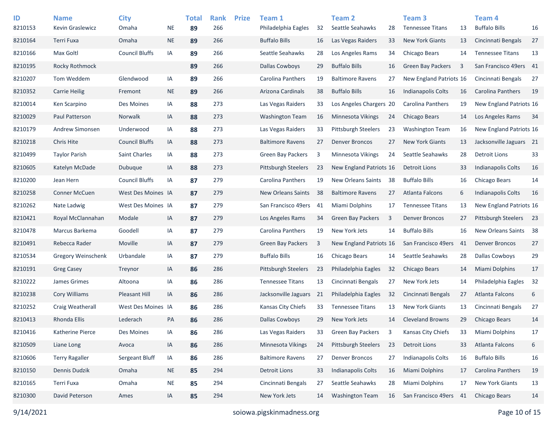| ID<br>8210153 | <b>Name</b><br>Kevin Graslewicz | <b>City</b><br>Omaha  | <b>NE</b> | <b>Total</b><br>89 | <b>Rank</b><br>266 | <b>Prize</b> | Team 1<br>Philadelphia Eagles | 32 | <b>Team 2</b><br>Seattle Seahawks | 28 | Team <sub>3</sub><br><b>Tennessee Titans</b> | 13                      | Team <sub>4</sub><br><b>Buffalo Bills</b> | 16 |
|---------------|---------------------------------|-----------------------|-----------|--------------------|--------------------|--------------|-------------------------------|----|-----------------------------------|----|----------------------------------------------|-------------------------|-------------------------------------------|----|
| 8210164       | Terri Fuxa                      | Omaha                 | $\sf NE$  | 89                 | 266                |              | <b>Buffalo Bills</b>          | 16 | Las Vegas Raiders                 | 33 | <b>New York Giants</b>                       | 13                      | Cincinnati Bengals                        | 27 |
| 8210166       | Max Goltl                       | <b>Council Bluffs</b> | IA        | 89                 | 266                |              | Seattle Seahawks              | 28 | Los Angeles Rams                  | 34 | Chicago Bears                                | 14                      | <b>Tennessee Titans</b>                   | 13 |
| 8210195       | Rocky Rothmock                  |                       |           | 89                 | 266                |              | <b>Dallas Cowboys</b>         | 29 | <b>Buffalo Bills</b>              | 16 | <b>Green Bay Packers</b>                     | $\overline{\mathbf{3}}$ | San Francisco 49ers 41                    |    |
| 8210207       | Tom Weddem                      | Glendwood             | IA        | 89                 | 266                |              | Carolina Panthers             | 19 | <b>Baltimore Ravens</b>           | 27 | New England Patriots 16                      |                         | Cincinnati Bengals                        | 27 |
| 8210352       | <b>Carrie Heilig</b>            | Fremont               | <b>NE</b> | 89                 | 266                |              | Arizona Cardinals             | 38 | <b>Buffalo Bills</b>              | 16 | Indianapolis Colts                           | 16                      | Carolina Panthers                         | 19 |
| 8210014       | Ken Scarpino                    | Des Moines            | IA        | 88                 | 273                |              | Las Vegas Raiders             | 33 | Los Angeles Chargers 20           |    | <b>Carolina Panthers</b>                     | 19                      | New England Patriots 16                   |    |
| 8210029       | Paul Patterson                  | Norwalk               | IA        | 88                 | 273                |              | <b>Washington Team</b>        | 16 | Minnesota Vikings                 | 24 | <b>Chicago Bears</b>                         | 14                      | Los Angeles Rams                          | 34 |
| 8210179       | Andrew Simonsen                 | Underwood             | IA        | 88                 | 273                |              | Las Vegas Raiders             | 33 | <b>Pittsburgh Steelers</b>        | 23 | <b>Washington Team</b>                       | 16                      | New England Patriots 16                   |    |
| 8210218       | Chris Hite                      | <b>Council Bluffs</b> | IA        | 88                 | 273                |              | <b>Baltimore Ravens</b>       | 27 | <b>Denver Broncos</b>             | 27 | <b>New York Giants</b>                       | 13                      | Jacksonville Jaguars 21                   |    |
| 8210499       | <b>Taylor Parish</b>            | <b>Saint Charles</b>  | IA        | 88                 | 273                |              | Green Bay Packers             | 3  | Minnesota Vikings                 | 24 | Seattle Seahawks                             | 28                      | <b>Detroit Lions</b>                      | 33 |
| 8210605       | Katelyn McDade                  | Dubuque               | IA        | 88                 | 273                |              | <b>Pittsburgh Steelers</b>    | 23 | New England Patriots 16           |    | <b>Detroit Lions</b>                         | 33                      | Indianapolis Colts                        | 16 |
| 8210200       | Jean Hern                       | <b>Council Bluffs</b> | IA        | 87                 | 279                |              | Carolina Panthers             | 19 | <b>New Orleans Saints</b>         | 38 | <b>Buffalo Bills</b>                         | 16                      | Chicago Bears                             | 14 |
| 8210258       | <b>Conner McCuen</b>            | West Des Moines IA    |           | 87                 | 279                |              | <b>New Orleans Saints</b>     | 38 | <b>Baltimore Ravens</b>           | 27 | Atlanta Falcons                              | 6                       | <b>Indianapolis Colts</b>                 | 16 |
| 8210262       | Nate Ladwig                     | West Des Moines IA    |           | 87                 | 279                |              | San Francisco 49ers           | 41 | Miami Dolphins                    | 17 | <b>Tennessee Titans</b>                      | 13                      | New England Patriots 16                   |    |
| 8210421       | Royal McClannahan               | Modale                | IA        | 87                 | 279                |              | Los Angeles Rams              | 34 | <b>Green Bay Packers</b>          | 3  | <b>Denver Broncos</b>                        | 27                      | <b>Pittsburgh Steelers</b>                | 23 |
| 8210478       | Marcus Barkema                  | Goodell               | IA        | 87                 | 279                |              | Carolina Panthers             | 19 | New York Jets                     | 14 | <b>Buffalo Bills</b>                         | 16                      | New Orleans Saints                        | 38 |
| 8210491       | Rebecca Rader                   | Moville               | IA        | 87                 | 279                |              | <b>Green Bay Packers</b>      | 3  | New England Patriots 16           |    | San Francisco 49ers                          | -41                     | <b>Denver Broncos</b>                     | 27 |
| 8210534       | <b>Gregory Weinschenk</b>       | Urbandale             | IA        | 87                 | 279                |              | <b>Buffalo Bills</b>          | 16 | Chicago Bears                     | 14 | Seattle Seahawks                             | 28                      | <b>Dallas Cowboys</b>                     | 29 |
| 8210191       | <b>Greg Casey</b>               | Treynor               | IA        | 86                 | 286                |              | <b>Pittsburgh Steelers</b>    | 23 | Philadelphia Eagles               | 32 | Chicago Bears                                | 14                      | Miami Dolphins                            | 17 |
| 8210222       | James Grimes                    | Altoona               | IA        | 86                 | 286                |              | <b>Tennessee Titans</b>       | 13 | Cincinnati Bengals                | 27 | New York Jets                                | 14                      | Philadelphia Eagles                       | 32 |
| 8210238       | <b>Cory Williams</b>            | Pleasant Hill         | IA        | 86                 | 286                |              | Jacksonville Jaguars          | 21 | Philadelphia Eagles               | 32 | Cincinnati Bengals                           | 27                      | Atlanta Falcons                           | 6  |
| 8210252       | Craig Weatherall                | West Des Moines IA    |           | 86                 | 286                |              | Kansas City Chiefs            | 33 | <b>Tennessee Titans</b>           | 13 | <b>New York Giants</b>                       | 13                      | Cincinnati Bengals                        | 27 |
| 8210413       | Rhonda Ellis                    | Lederach              | PA        | 86                 | 286                |              | <b>Dallas Cowboys</b>         | 29 | New York Jets                     | 14 | <b>Cleveland Browns</b>                      | 29                      | <b>Chicago Bears</b>                      | 14 |
| 8210416       | Katherine Pierce                | Des Moines            | IA        | 86                 | 286                |              | Las Vegas Raiders             | 33 | Green Bay Packers                 | 3  | Kansas City Chiefs                           | 33                      | Miami Dolphins                            | 17 |
| 8210509       | Liane Long                      | Avoca                 | IA        | 86                 | 286                |              | Minnesota Vikings             | 24 | Pittsburgh Steelers               | 23 | <b>Detroit Lions</b>                         | 33                      | Atlanta Falcons                           | 6  |
| 8210606       | <b>Terry Ragaller</b>           | Sergeant Bluff        | IA        | 86                 | 286                |              | <b>Baltimore Ravens</b>       | 27 | <b>Denver Broncos</b>             | 27 | Indianapolis Colts                           | 16                      | <b>Buffalo Bills</b>                      | 16 |
| 8210150       | Dennis Dudzik                   | Omaha                 | <b>NE</b> | 85                 | 294                |              | <b>Detroit Lions</b>          | 33 | <b>Indianapolis Colts</b>         | 16 | Miami Dolphins                               | 17                      | Carolina Panthers                         | 19 |
| 8210165       | Terri Fuxa                      | Omaha                 | <b>NE</b> | 85                 | 294                |              | Cincinnati Bengals            | 27 | Seattle Seahawks                  | 28 | Miami Dolphins                               | 17                      | <b>New York Giants</b>                    | 13 |
| 8210300       | David Peterson                  | Ames                  | IA        | 85                 | 294                |              | New York Jets                 | 14 | <b>Washington Team</b>            | 16 | San Francisco 49ers                          | 41                      | <b>Chicago Bears</b>                      | 14 |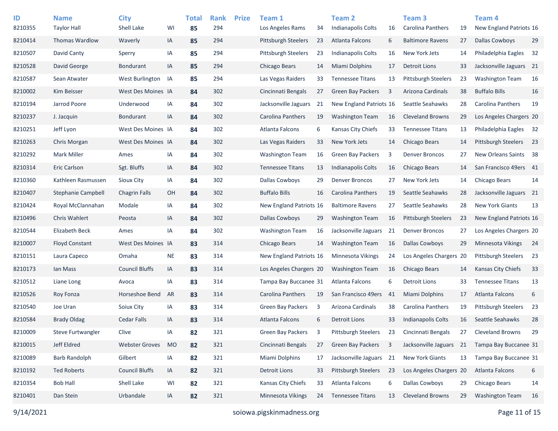| ID<br>8210355 | <b>Name</b><br><b>Taylor Hall</b> | <b>City</b><br>Shell Lake | WI        | <b>Total</b><br>85 | <b>Rank</b><br>294 | <b>Prize</b> | Team 1<br>Los Angeles Rams | 34 | Team <sub>2</sub><br><b>Indianapolis Colts</b> | 16 | <b>Team 3</b><br>Carolina Panthers | 19 | Team <sub>4</sub><br>New England Patriots 16 |    |
|---------------|-----------------------------------|---------------------------|-----------|--------------------|--------------------|--------------|----------------------------|----|------------------------------------------------|----|------------------------------------|----|----------------------------------------------|----|
| 8210414       | Thomas Wardlow                    | Waverly                   | IA        | 85                 | 294                |              | <b>Pittsburgh Steelers</b> | 23 | Atlanta Falcons                                | 6  | <b>Baltimore Ravens</b>            | 27 | <b>Dallas Cowboys</b>                        | 29 |
| 8210507       | David Canty                       | Sperry                    | ΙA        | 85                 | 294                |              | <b>Pittsburgh Steelers</b> | 23 | <b>Indianapolis Colts</b>                      | 16 | New York Jets                      | 14 | Philadelphia Eagles                          | 32 |
| 8210528       | David George                      | <b>Bondurant</b>          | IA        | 85                 | 294                |              | Chicago Bears              | 14 | <b>Miami Dolphins</b>                          | 17 | <b>Detroit Lions</b>               | 33 | Jacksonville Jaguars 21                      |    |
| 8210587       | Sean Atwater                      | West Burlington           | IA        | 85                 | 294                |              | Las Vegas Raiders          | 33 | <b>Tennessee Titans</b>                        | 13 | <b>Pittsburgh Steelers</b>         | 23 | <b>Washington Team</b>                       | 16 |
| 8210002       | Kim Beisser                       | West Des Moines IA        |           | 84                 | 302                |              | Cincinnati Bengals         | 27 | <b>Green Bay Packers</b>                       | 3  | Arizona Cardinals                  | 38 | <b>Buffalo Bills</b>                         | 16 |
| 8210194       | Jarrod Poore                      | Underwood                 | ΙA        | 84                 | 302                |              | Jacksonville Jaguars       | 21 | New England Patriots 16                        |    | Seattle Seahawks                   | 28 | Carolina Panthers                            | 19 |
| 8210237       | J. Jacquin                        | <b>Bondurant</b>          | IA        | 84                 | 302                |              | Carolina Panthers          | 19 | <b>Washington Team</b>                         | 16 | <b>Cleveland Browns</b>            | 29 | Los Angeles Chargers 20                      |    |
| 8210251       | Jeff Lyon                         | West Des Moines IA        |           | 84                 | 302                |              | Atlanta Falcons            | 6  | Kansas City Chiefs                             | 33 | <b>Tennessee Titans</b>            | 13 | Philadelphia Eagles 32                       |    |
| 8210263       | Chris Morgan                      | West Des Moines IA        |           | 84                 | 302                |              | Las Vegas Raiders          | 33 | New York Jets                                  | 14 | Chicago Bears                      | 14 | <b>Pittsburgh Steelers</b>                   | 23 |
| 8210292       | <b>Mark Miller</b>                | Ames                      | ΙA        | 84                 | 302                |              | <b>Washington Team</b>     | 16 | <b>Green Bay Packers</b>                       | 3  | <b>Denver Broncos</b>              | 27 | New Orleans Saints 38                        |    |
| 8210314       | <b>Eric Carlson</b>               | Sgt. Bluffs               | IA        | 84                 | 302                |              | <b>Tennessee Titans</b>    | 13 | Indianapolis Colts                             | 16 | Chicago Bears                      | 14 | San Francisco 49ers 41                       |    |
| 8210360       | Kathleen Rasmussen                | Sioux City                | ΙA        | 84                 | 302                |              | <b>Dallas Cowboys</b>      | 29 | <b>Denver Broncos</b>                          | 27 | New York Jets                      | 14 | Chicago Bears                                | 14 |
| 8210407       | Stephanie Campbell                | <b>Chagrin Falls</b>      | OH        | 84                 | 302                |              | <b>Buffalo Bills</b>       | 16 | Carolina Panthers                              | 19 | Seattle Seahawks                   | 28 | Jacksonville Jaguars 21                      |    |
| 8210424       | Royal McClannahan                 | Modale                    | IA        | 84                 | 302                |              | New England Patriots 16    |    | <b>Baltimore Ravens</b>                        | 27 | Seattle Seahawks                   | 28 | <b>New York Giants</b>                       | 13 |
| 8210496       | <b>Chris Wahlert</b>              | Peosta                    | IA        | 84                 | 302                |              | <b>Dallas Cowboys</b>      | 29 | <b>Washington Team</b>                         | 16 | <b>Pittsburgh Steelers</b>         | 23 | New England Patriots 16                      |    |
| 8210544       | <b>Elizabeth Beck</b>             | Ames                      | ΙA        | 84                 | 302                |              | <b>Washington Team</b>     | 16 | Jacksonville Jaguars                           | 21 | <b>Denver Broncos</b>              | 27 | Los Angeles Chargers 20                      |    |
| 8210007       | <b>Floyd Constant</b>             | West Des Moines IA        |           | 83                 | 314                |              | Chicago Bears              | 14 | <b>Washington Team</b>                         | 16 | <b>Dallas Cowboys</b>              | 29 | <b>Minnesota Vikings</b>                     | 24 |
| 8210151       | Laura Capeco                      | Omaha                     | <b>NE</b> | 83                 | 314                |              | New England Patriots 16    |    | Minnesota Vikings                              | 24 | Los Angeles Chargers 20            |    | Pittsburgh Steelers                          | 23 |
| 8210173       | lan Mass                          | <b>Council Bluffs</b>     | IA        | 83                 | 314                |              | Los Angeles Chargers 20    |    | <b>Washington Team</b>                         | 16 | <b>Chicago Bears</b>               | 14 | Kansas City Chiefs                           | 33 |
| 8210512       | Liane Long                        | Avoca                     | IA        | 83                 | 314                |              | Tampa Bay Buccanee 31      |    | Atlanta Falcons                                | 6  | <b>Detroit Lions</b>               | 33 | <b>Tennessee Titans</b>                      | 13 |
| 8210526       | Roy Fonza                         | Horseshoe Bend            | AR        | 83                 | 314                |              | Carolina Panthers          | 19 | San Francisco 49ers                            | 41 | <b>Miami Dolphins</b>              | 17 | <b>Atlanta Falcons</b>                       | 6  |
| 8210540       | Joe Uran                          | Soiux City                | ΙA        | 83                 | 314                |              | Green Bay Packers          | 3  | Arizona Cardinals                              | 38 | <b>Carolina Panthers</b>           | 19 | <b>Pittsburgh Steelers</b>                   | 23 |
| 8210584       | <b>Brady Oldag</b>                | Cedar Falls               | IA        | 83                 | 314                |              | <b>Atlanta Falcons</b>     | 6  | <b>Detroit Lions</b>                           | 33 | <b>Indianapolis Colts</b>          | 16 | Seattle Seahawks                             | 28 |
| 8210009       | <b>Steve Furtwangler</b>          | Clive                     | IA        | 82                 | 321                |              | Green Bay Packers          | 3  | Pittsburgh Steelers                            | 23 | Cincinnati Bengals                 | 27 | <b>Cleveland Browns</b>                      | 29 |
| 8210015       | Jeff Eldred                       | <b>Webster Groves</b>     | <b>MO</b> | 82                 | 321                |              | Cincinnati Bengals         | 27 | <b>Green Bay Packers</b>                       | 3  | Jacksonville Jaguars 21            |    | Tampa Bay Buccanee 31                        |    |
| 8210089       | <b>Barb Randolph</b>              | Gilbert                   | IA        | 82                 | 321                |              | Miami Dolphins             | 17 | Jacksonville Jaguars 21                        |    | New York Giants                    | 13 | Tampa Bay Buccanee 31                        |    |
| 8210192       | <b>Ted Roberts</b>                | <b>Council Bluffs</b>     | IA        | 82                 | 321                |              | <b>Detroit Lions</b>       | 33 | Pittsburgh Steelers                            | 23 | Los Angeles Chargers 20            |    | Atlanta Falcons                              | 6  |
| 8210354       | <b>Bob Hall</b>                   | Shell Lake                | WI        | 82                 | 321                |              | Kansas City Chiefs         | 33 | Atlanta Falcons                                | 6  | Dallas Cowboys                     | 29 | <b>Chicago Bears</b>                         | 14 |
| 8210401       | Dan Stein                         | Urbandale                 | IA        | 82                 | 321                |              | Minnesota Vikings          | 24 | <b>Tennessee Titans</b>                        | 13 | <b>Cleveland Browns</b>            | 29 | <b>Washington Team</b>                       | 16 |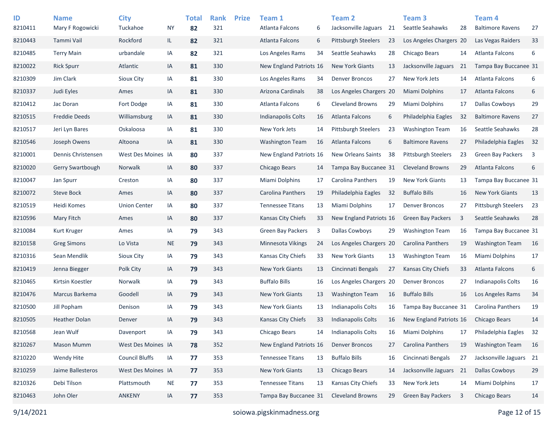| ID<br>8210411 | <b>Name</b><br>Mary F Rogowicki | <b>City</b><br>Tuckahoe | <b>NY</b> | <b>Total</b><br>82 | <b>Rank</b><br>321 | <b>Prize</b> | Team 1<br>Atlanta Falcons | 6  | <b>Team 2</b><br>Jacksonville Jaguars | 21 | Team <sub>3</sub><br>Seattle Seahawks | 28 | Team 4<br><b>Baltimore Ravens</b> | 27                      |
|---------------|---------------------------------|-------------------------|-----------|--------------------|--------------------|--------------|---------------------------|----|---------------------------------------|----|---------------------------------------|----|-----------------------------------|-------------------------|
| 8210443       | Tammi Vail                      | Rockford                | IL.       | 82                 | 321                |              | <b>Atlanta Falcons</b>    | 6  | <b>Pittsburgh Steelers</b>            | 23 | Los Angeles Chargers 20               |    | Las Vegas Raiders                 | 33                      |
| 8210485       | <b>Terry Main</b>               | urbandale               | IA        | 82                 | 321                |              | Los Angeles Rams          | 34 | Seattle Seahawks                      | 28 | Chicago Bears                         | 14 | Atlanta Falcons                   | 6                       |
| 8210022       | <b>Rick Spurr</b>               | Atlantic                | IA        | 81                 | 330                |              | New England Patriots 16   |    | <b>New York Giants</b>                | 13 | Jacksonville Jaguars                  | 21 | Tampa Bay Buccanee 31             |                         |
| 8210309       | Jim Clark                       | <b>Sioux City</b>       | IA        | 81                 | 330                |              | Los Angeles Rams          | 34 | <b>Denver Broncos</b>                 | 27 | New York Jets                         | 14 | Atlanta Falcons                   | 6                       |
| 8210337       | Judi Eyles                      | Ames                    | IA        | 81                 | 330                |              | Arizona Cardinals         | 38 | Los Angeles Chargers 20               |    | <b>Miami Dolphins</b>                 | 17 | Atlanta Falcons                   | 6                       |
| 8210412       | Jac Doran                       | Fort Dodge              | IA        | 81                 | 330                |              | Atlanta Falcons           | 6  | <b>Cleveland Browns</b>               | 29 | <b>Miami Dolphins</b>                 | 17 | <b>Dallas Cowboys</b>             | 29                      |
| 8210515       | <b>Freddie Deeds</b>            | Williamsburg            | IA        | 81                 | 330                |              | Indianapolis Colts        | 16 | Atlanta Falcons                       | 6  | Philadelphia Eagles                   | 32 | <b>Baltimore Ravens</b>           | 27                      |
| 8210517       | Jeri Lyn Bares                  | Oskaloosa               | IA        | 81                 | 330                |              | New York Jets             | 14 | <b>Pittsburgh Steelers</b>            | 23 | <b>Washington Team</b>                | 16 | Seattle Seahawks                  | 28                      |
| 8210546       | Joseph Owens                    | Altoona                 | IA        | 81                 | 330                |              | <b>Washington Team</b>    | 16 | Atlanta Falcons                       | 6  | <b>Baltimore Ravens</b>               | 27 | Philadelphia Eagles               | 32                      |
| 8210001       | Dennis Christensen              | West Des Moines IA      |           | 80                 | 337                |              | New England Patriots 16   |    | <b>New Orleans Saints</b>             | 38 | <b>Pittsburgh Steelers</b>            | 23 | <b>Green Bay Packers</b>          | $\overline{\mathbf{3}}$ |
| 8210020       | Gerry Swartbough                | Norwalk                 | IA        | 80                 | 337                |              | Chicago Bears             | 14 | Tampa Bay Buccanee 31                 |    | <b>Cleveland Browns</b>               | 29 | Atlanta Falcons                   | 6                       |
| 8210047       | Jan Spurr                       | Creston                 | IA        | 80                 | 337                |              | <b>Miami Dolphins</b>     | 17 | Carolina Panthers                     | 19 | <b>New York Giants</b>                | 13 | Tampa Bay Buccanee 31             |                         |
| 8210072       | <b>Steve Bock</b>               | Ames                    | IA        | 80                 | 337                |              | Carolina Panthers         | 19 | Philadelphia Eagles                   | 32 | <b>Buffalo Bills</b>                  | 16 | <b>New York Giants</b>            | 13                      |
| 8210519       | Heidi Komes                     | <b>Union Center</b>     | IA        | 80                 | 337                |              | <b>Tennessee Titans</b>   | 13 | Miami Dolphins                        | 17 | <b>Denver Broncos</b>                 | 27 | <b>Pittsburgh Steelers</b>        | 23                      |
| 8210596       | Mary Fitch                      | Ames                    | IA        | 80                 | 337                |              | Kansas City Chiefs        | 33 | New England Patriots 16               |    | <b>Green Bay Packers</b>              | 3  | Seattle Seahawks                  | 28                      |
| 8210084       | Kurt Kruger                     | Ames                    | IA        | 79                 | 343                |              | <b>Green Bay Packers</b>  | 3  | Dallas Cowboys                        | 29 | <b>Washington Team</b>                | 16 | Tampa Bay Buccanee 31             |                         |
| 8210158       | <b>Greg Simons</b>              | Lo Vista                | <b>NE</b> | 79                 | 343                |              | <b>Minnesota Vikings</b>  | 24 | Los Angeles Chargers 20               |    | Carolina Panthers                     | 19 | <b>Washington Team</b>            | 16                      |
| 8210316       | Sean Mendlik                    | <b>Sioux City</b>       | IA        | 79                 | 343                |              | Kansas City Chiefs        | 33 | <b>New York Giants</b>                | 13 | <b>Washington Team</b>                | 16 | Miami Dolphins                    | 17                      |
| 8210419       | Jenna Biegger                   | Polk City               | IA        | 79                 | 343                |              | <b>New York Giants</b>    | 13 | Cincinnati Bengals                    | 27 | <b>Kansas City Chiefs</b>             | 33 | Atlanta Falcons                   | 6                       |
| 8210465       | Kirtsin Koestler                | Norwalk                 | IA        | 79                 | 343                |              | <b>Buffalo Bills</b>      | 16 | Los Angeles Chargers 20               |    | <b>Denver Broncos</b>                 | 27 | <b>Indianapolis Colts</b>         | 16                      |
| 8210476       | Marcus Barkema                  | Goodell                 | IA        | 79                 | 343                |              | <b>New York Giants</b>    | 13 | <b>Washington Team</b>                | 16 | <b>Buffalo Bills</b>                  | 16 | Los Angeles Rams                  | 34                      |
| 8210500       | Jill Popham                     | Denison                 | IA        | 79                 | 343                |              | <b>New York Giants</b>    | 13 | Indianapolis Colts                    | 16 | Tampa Bay Buccanee 31                 |    | Carolina Panthers                 | 19                      |
| 8210505       | <b>Heather Dolan</b>            | Denver                  | IA        | 79                 | 343                |              | <b>Kansas City Chiefs</b> | 33 | <b>Indianapolis Colts</b>             | 16 | New England Patriots 16               |    | <b>Chicago Bears</b>              | 14                      |
| 8210568       | Jean Wulf                       | Davenport               | IA        | 79                 | 343                |              | Chicago Bears             | 14 | Indianapolis Colts                    | 16 | <b>Miami Dolphins</b>                 | 17 | Philadelphia Eagles               | 32                      |
| 8210267       | Mason Mumm                      | West Des Moines IA      |           | 78                 | 352                |              | New England Patriots 16   |    | <b>Denver Broncos</b>                 | 27 | Carolina Panthers                     | 19 | <b>Washington Team</b>            | 16                      |
| 8210220       | Wendy Hite                      | <b>Council Bluffs</b>   | IA        | 77                 | 353                |              | <b>Tennessee Titans</b>   | 13 | <b>Buffalo Bills</b>                  | 16 | Cincinnati Bengals                    | 27 | Jacksonville Jaguars 21           |                         |
| 8210259       | Jaime Ballesteros               | West Des Moines IA      |           | 77                 | 353                |              | New York Giants           | 13 | Chicago Bears                         | 14 | Jacksonville Jaguars                  | 21 | <b>Dallas Cowboys</b>             | 29                      |
| 8210326       | Debi Tilson                     | Plattsmouth             | <b>NE</b> | 77                 | 353                |              | <b>Tennessee Titans</b>   | 13 | Kansas City Chiefs                    | 33 | New York Jets                         | 14 | Miami Dolphins                    | 17                      |
| 8210463       | John Oler                       | <b>ANKENY</b>           | IA        | 77                 | 353                |              | Tampa Bay Buccanee 31     |    | <b>Cleveland Browns</b>               | 29 | Green Bay Packers                     | 3  | Chicago Bears                     | 14                      |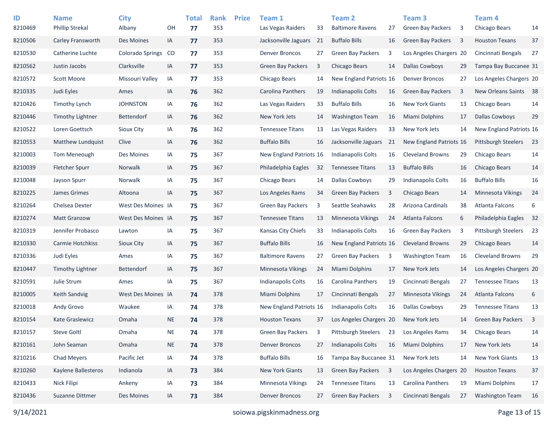| ID<br>8210469 | <b>Name</b><br><b>Phillip Strekal</b> | <b>City</b><br>Albany   | OH        | <b>Total</b><br>77 | <b>Rank</b><br>353 | <b>Prize</b> | Team 1<br>Las Vegas Raiders | 33 | <b>Team 2</b><br><b>Baltimore Ravens</b> | 27             | Team <sub>3</sub><br><b>Green Bay Packers</b> | 3  | Team <sub>4</sub><br>Chicago Bears | 14             |
|---------------|---------------------------------------|-------------------------|-----------|--------------------|--------------------|--------------|-----------------------------|----|------------------------------------------|----------------|-----------------------------------------------|----|------------------------------------|----------------|
| 8210506       | Carley Fransworth                     | Des Moines              | IA        | 77                 | 353                |              | Jacksonville Jaguars        | 21 | <b>Buffalo Bills</b>                     | 16             | Green Bay Packers                             | 3  | <b>Houston Texans</b>              | 37             |
| 8210530       | Catherine Luchte                      | <b>Colorado Springs</b> | CO        | 77                 | 353                |              | <b>Denver Broncos</b>       | 27 | <b>Green Bay Packers</b>                 | 3              | Los Angeles Chargers 20                       |    | Cincinnati Bengals                 | 27             |
| 8210562       | Justin Jacobs                         | Clarksville             | IA        | 77                 | 353                |              | Green Bay Packers           | 3  | Chicago Bears                            | 14             | <b>Dallas Cowboys</b>                         | 29 | Tampa Bay Buccanee 31              |                |
| 8210572       | Scott Moore                           | Missouri Valley         | IA        | 77                 | 353                |              | Chicago Bears               | 14 | New England Patriots 16                  |                | <b>Denver Broncos</b>                         | 27 | Los Angeles Chargers 20            |                |
| 8210335       | Judi Eyles                            | Ames                    | IA        | 76                 | 362                |              | Carolina Panthers           | 19 | <b>Indianapolis Colts</b>                | 16             | <b>Green Bay Packers</b>                      | 3  | New Orleans Saints                 | 38             |
| 8210426       | <b>Timothy Lynch</b>                  | <b>JOHNSTON</b>         | IA        | 76                 | 362                |              | Las Vegas Raiders           | 33 | <b>Buffalo Bills</b>                     | 16             | <b>New York Giants</b>                        | 13 | Chicago Bears                      | 14             |
| 8210446       | <b>Timothy Lightner</b>               | <b>Bettendorf</b>       | IA        | 76                 | 362                |              | New York Jets               | 14 | <b>Washington Team</b>                   | 16             | Miami Dolphins                                | 17 | <b>Dallas Cowboys</b>              | 29             |
| 8210522       | Loren Goettsch                        | Sioux City              | IA        | 76                 | 362                |              | <b>Tennessee Titans</b>     | 13 | Las Vegas Raiders                        | 33             | New York Jets                                 | 14 | New England Patriots 16            |                |
| 8210553       | Matthew Lundquist                     | Clive                   | IA        | 76                 | 362                |              | <b>Buffalo Bills</b>        | 16 | Jacksonville Jaguars                     | 21             | New England Patriots 16                       |    | <b>Pittsburgh Steelers</b>         | 23             |
| 8210003       | Tom Meneough                          | Des Moines              | IA        | 75                 | 367                |              | New England Patriots 16     |    | <b>Indianapolis Colts</b>                | 16             | <b>Cleveland Browns</b>                       | 29 | Chicago Bears                      | 14             |
| 8210039       | <b>Fletcher Spurr</b>                 | Norwalk                 | IA        | 75                 | 367                |              | Philadelphia Eagles         | 32 | <b>Tennessee Titans</b>                  | 13             | <b>Buffalo Bills</b>                          | 16 | <b>Chicago Bears</b>               | 14             |
| 8210048       | Jayson Spurr                          | Norwalk                 | IA        | 75                 | 367                |              | Chicago Bears               | 14 | <b>Dallas Cowboys</b>                    | 29             | <b>Indianapolis Colts</b>                     | 16 | <b>Buffalo Bills</b>               | 16             |
| 8210225       | James Grimes                          | Altoona                 | IA        | 75                 | 367                |              | Los Angeles Rams            | 34 | Green Bay Packers                        | 3              | Chicago Bears                                 | 14 | Minnesota Vikings                  | 24             |
| 8210264       | Chelsea Dexter                        | West Des Moines IA      |           | 75                 | 367                |              | Green Bay Packers           | 3  | Seattle Seahawks                         | 28             | Arizona Cardinals                             | 38 | Atlanta Falcons                    | 6              |
| 8210274       | <b>Matt Granzow</b>                   | West Des Moines IA      |           | 75                 | 367                |              | <b>Tennessee Titans</b>     | 13 | Minnesota Vikings                        | 24             | Atlanta Falcons                               | 6  | Philadelphia Eagles                | 32             |
| 8210319       | Jennifer Probasco                     | Lawton                  | IA        | 75                 | 367                |              | Kansas City Chiefs          | 33 | Indianapolis Colts                       | 16             | <b>Green Bay Packers</b>                      | 3  | Pittsburgh Steelers                | 23             |
| 8210330       | Carmie Hotchkiss                      | Sioux City              | IA        | 75                 | 367                |              | <b>Buffalo Bills</b>        | 16 | New England Patriots 16                  |                | <b>Cleveland Browns</b>                       | 29 | Chicago Bears                      | 14             |
| 8210336       | Judi Eyles                            | Ames                    | IA        | 75                 | 367                |              | <b>Baltimore Ravens</b>     | 27 | <b>Green Bay Packers</b>                 | 3              | <b>Washington Team</b>                        | 16 | <b>Cleveland Browns</b>            | 29             |
| 8210447       | Timothy Lightner                      | <b>Bettendorf</b>       | IA        | 75                 | 367                |              | Minnesota Vikings           | 24 | <b>Miami Dolphins</b>                    | 17             | New York Jets                                 | 14 | Los Angeles Chargers 20            |                |
| 8210591       | Julie Strum                           | Ames                    | IA        | 75                 | 367                |              | Indianapolis Colts          | 16 | <b>Carolina Panthers</b>                 | 19             | Cincinnati Bengals                            | 27 | <b>Tennessee Titans</b>            | 13             |
| 8210005       | <b>Keith Sandvig</b>                  | West Des Moines IA      |           | 74                 | 378                |              | <b>Miami Dolphins</b>       | 17 | Cincinnati Bengals                       | 27             | <b>Minnesota Vikings</b>                      | 24 | Atlanta Falcons                    | 6              |
| 8210018       | Andy Grovo                            | Waukee                  | IA        | 74                 | 378                |              | New England Patriots 16     |    | Indianapolis Colts                       | 16             | Dallas Cowboys                                | 29 | <b>Tennessee Titans</b>            | 13             |
| 8210154       | <b>Kate Graslewicz</b>                | Omaha                   | <b>NE</b> | 74                 | 378                |              | <b>Houston Texans</b>       | 37 | Los Angeles Chargers 20                  |                | New York Jets                                 | 14 | <b>Green Bay Packers</b>           | $\overline{3}$ |
| 8210157       | <b>Steve Goltl</b>                    | Omaha                   | <b>NE</b> | 74                 | 378                |              | <b>Green Bay Packers</b>    | 3  | Pittsburgh Steelers                      | 23             | Los Angeles Rams                              | 34 | Chicago Bears                      | 14             |
| 8210161       | John Seaman                           | Omaha                   | <b>NE</b> | 74                 | 378                |              | <b>Denver Broncos</b>       | 27 | <b>Indianapolis Colts</b>                | 16             | Miami Dolphins                                | 17 | New York Jets                      | 14             |
| 8210216       | <b>Chad Meyers</b>                    | Pacific Jet             | IA        | 74                 | 378                |              | <b>Buffalo Bills</b>        | 16 | Tampa Bay Buccanee 31                    |                | New York Jets                                 | 14 | <b>New York Giants</b>             | 13             |
| 8210260       | Kaylene Ballesteros                   | Indianola               | IA        | 73                 | 384                |              | New York Giants             | 13 | Green Bay Packers                        | $\overline{3}$ | Los Angeles Chargers 20                       |    | <b>Houston Texans</b>              | 37             |
| 8210433       | Nick Filipi                           | Ankeny                  | IA        | 73                 | 384                |              | Minnesota Vikings           | 24 | <b>Tennessee Titans</b>                  | 13             | <b>Carolina Panthers</b>                      | 19 | Miami Dolphins                     | 17             |
| 8210436       | Suzanne Dittmer                       | Des Moines              | IA        | 73                 | 384                |              | <b>Denver Broncos</b>       | 27 | <b>Green Bay Packers</b>                 | 3              | Cincinnati Bengals                            | 27 | <b>Washington Team</b>             | 16             |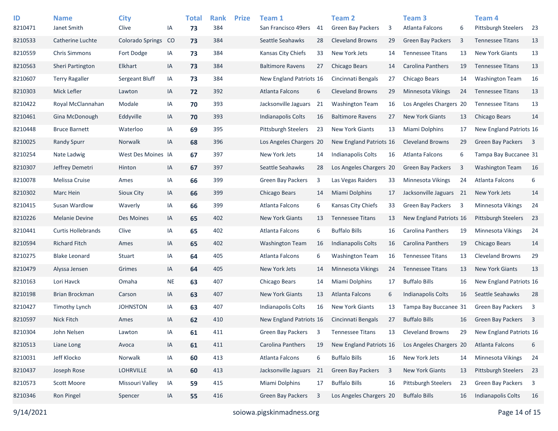| ID      | <b>Name</b>               | <b>City</b>             |           | <b>Total</b> | <b>Rank</b> | <b>Prize</b> | Team 1                     |    | Team 2                    |    | Team <sub>3</sub>          |      | <b>Team 4</b>              |                         |
|---------|---------------------------|-------------------------|-----------|--------------|-------------|--------------|----------------------------|----|---------------------------|----|----------------------------|------|----------------------------|-------------------------|
| 8210471 | Janet Smith               | Clive                   | ΙA        | 73           | 384         |              | San Francisco 49ers        | 41 | <b>Green Bay Packers</b>  | 3  | Atlanta Falcons            | 6    | Pittsburgh Steelers        | -23                     |
| 8210533 | Catherine Luchte          | <b>Colorado Springs</b> | CO        | 73           | 384         |              | Seattle Seahawks           | 28 | <b>Cleveland Browns</b>   | 29 | <b>Green Bay Packers</b>   | 3    | <b>Tennessee Titans</b>    | 13                      |
| 8210559 | <b>Chris Simmons</b>      | Fort Dodge              | IA        | 73           | 384         |              | Kansas City Chiefs         | 33 | New York Jets             | 14 | <b>Tennessee Titans</b>    | 13   | <b>New York Giants</b>     | 13                      |
| 8210563 | Sheri Partington          | Elkhart                 | IA        | 73           | 384         |              | <b>Baltimore Ravens</b>    | 27 | Chicago Bears             | 14 | <b>Carolina Panthers</b>   | 19   | <b>Tennessee Titans</b>    | 13                      |
| 8210607 | <b>Terry Ragaller</b>     | Sergeant Bluff          | IA        | 73           | 384         |              | New England Patriots 16    |    | Cincinnati Bengals        | 27 | Chicago Bears              | 14   | <b>Washington Team</b>     | 16                      |
| 8210303 | Mick Lefler               | Lawton                  | IA        | 72           | 392         |              | Atlanta Falcons            | 6  | <b>Cleveland Browns</b>   | 29 | Minnesota Vikings          | 24   | <b>Tennessee Titans</b>    | 13                      |
| 8210422 | Royal McClannahan         | Modale                  | IA        | 70           | 393         |              | Jacksonville Jaguars       | 21 | <b>Washington Team</b>    | 16 | Los Angeles Chargers 20    |      | <b>Tennessee Titans</b>    | 13                      |
| 8210461 | Gina McDonough            | Eddyville               | IA        | 70           | 393         |              | <b>Indianapolis Colts</b>  | 16 | <b>Baltimore Ravens</b>   | 27 | <b>New York Giants</b>     | 13   | <b>Chicago Bears</b>       | 14                      |
| 8210448 | <b>Bruce Barnett</b>      | Waterloo                | IA        | 69           | 395         |              | <b>Pittsburgh Steelers</b> | 23 | <b>New York Giants</b>    | 13 | Miami Dolphins             | 17   | New England Patriots 16    |                         |
| 8210025 | <b>Randy Spurr</b>        | Norwalk                 | IA        | 68           | 396         |              | Los Angeles Chargers 20    |    | New England Patriots 16   |    | <b>Cleveland Browns</b>    | 29   | <b>Green Bay Packers</b>   | $\overline{\mathbf{3}}$ |
| 8210254 | Nate Ladwig               | West Des Moines IA      |           | 67           | 397         |              | New York Jets              | 14 | <b>Indianapolis Colts</b> | 16 | Atlanta Falcons            | 6    | Tampa Bay Buccanee 31      |                         |
| 8210307 | Jeffrey Demetri           | Hinton                  | IA        | 67           | 397         |              | Seattle Seahawks           | 28 | Los Angeles Chargers 20   |    | Green Bay Packers          | 3    | <b>Washington Team</b>     | 16                      |
| 8210078 | Melissa Cruise            | Ames                    | IA        | 66           | 399         |              | <b>Green Bay Packers</b>   | 3  | Las Vegas Raiders         | 33 | Minnesota Vikings          | 24   | Atlanta Falcons            | 6                       |
| 8210302 | Marc Hein                 | Sioux City              | IA        | 66           | 399         |              | Chicago Bears              | 14 | <b>Miami Dolphins</b>     | 17 | Jacksonville Jaguars       | - 21 | New York Jets              | 14                      |
| 8210415 | Susan Wardlow             | Waverly                 | IA        | 66           | 399         |              | Atlanta Falcons            | 6  | Kansas City Chiefs        | 33 | <b>Green Bay Packers</b>   | 3    | <b>Minnesota Vikings</b>   | 24                      |
| 8210226 | <b>Melanie Devine</b>     | Des Moines              | IA        | 65           | 402         |              | <b>New York Giants</b>     | 13 | <b>Tennessee Titans</b>   | 13 | New England Patriots 16    |      | <b>Pittsburgh Steelers</b> | 23                      |
| 8210441 | <b>Curtis Hollebrands</b> | Clive                   | IA        | 65           | 402         |              | Atlanta Falcons            | 6  | <b>Buffalo Bills</b>      | 16 | Carolina Panthers          | 19   | <b>Minnesota Vikings</b>   | 24                      |
| 8210594 | <b>Richard Fitch</b>      | Ames                    | IA        | 65           | 402         |              | <b>Washington Team</b>     | 16 | <b>Indianapolis Colts</b> | 16 | <b>Carolina Panthers</b>   | 19   | Chicago Bears              | 14                      |
| 8210275 | <b>Blake Leonard</b>      | Stuart                  | IA        | 64           | 405         |              | Atlanta Falcons            | 6  | <b>Washington Team</b>    | 16 | <b>Tennessee Titans</b>    | 13   | <b>Cleveland Browns</b>    | 29                      |
| 8210479 | Alyssa Jensen             | Grimes                  | IA        | 64           | 405         |              | New York Jets              | 14 | <b>Minnesota Vikings</b>  | 24 | <b>Tennessee Titans</b>    | 13   | <b>New York Giants</b>     | 13                      |
| 8210163 | Lori Havck                | Omaha                   | <b>NE</b> | 63           | 407         |              | Chicago Bears              | 14 | Miami Dolphins            | 17 | <b>Buffalo Bills</b>       | 16   | New England Patriots 16    |                         |
| 8210198 | Brian Brockman            | Carson                  | IA        | 63           | 407         |              | <b>New York Giants</b>     | 13 | <b>Atlanta Falcons</b>    | 6  | <b>Indianapolis Colts</b>  | 16   | Seattle Seahawks           | 28                      |
| 8210427 | <b>Timothy Lynch</b>      | <b>JOHNSTON</b>         | IA        | 63           | 407         |              | Indianapolis Colts         | 16 | <b>New York Giants</b>    | 13 | Tampa Bay Buccanee 31      |      | <b>Green Bay Packers</b>   | $\overline{\mathbf{3}}$ |
| 8210597 | <b>Nick Fitch</b>         | Ames                    | IA        | 62           | 410         |              | New England Patriots 16    |    | Cincinnati Bengals        | 27 | <b>Buffalo Bills</b>       | 16   | <b>Green Bay Packers</b>   | - 3                     |
| 8210304 | John Nelsen               | Lawton                  | IA        | 61           | 411         |              | Green Bay Packers          | 3  | <b>Tennessee Titans</b>   | 13 | <b>Cleveland Browns</b>    | 29   | New England Patriots 16    |                         |
| 8210513 | Liane Long                | Avoca                   | IA        | 61           | 411         |              | Carolina Panthers          | 19 | New England Patriots 16   |    | Los Angeles Chargers 20    |      | Atlanta Falcons            | 6                       |
| 8210031 | Jeff Klocko               | Norwalk                 | IA        | 60           | 413         |              | Atlanta Falcons            | 6  | <b>Buffalo Bills</b>      | 16 | New York Jets              | 14   | Minnesota Vikings          | 24                      |
| 8210437 | Joseph Rose               | LOHRVILLE               | IA        | 60           | 413         |              | Jacksonville Jaguars       | 21 | Green Bay Packers         | 3  | New York Giants            | 13   | <b>Pittsburgh Steelers</b> | 23                      |
| 8210573 | <b>Scott Moore</b>        | Missouri Valley         | IA        | 59           | 415         |              | Miami Dolphins             | 17 | <b>Buffalo Bills</b>      | 16 | <b>Pittsburgh Steelers</b> | 23   | Green Bay Packers          | $\overline{\mathbf{3}}$ |
| 8210346 | Ron Pingel                | Spencer                 | IA        | 55           | 416         |              | Green Bay Packers          | 3  | Los Angeles Chargers 20   |    | <b>Buffalo Bills</b>       | 16   | <b>Indianapolis Colts</b>  | 16                      |